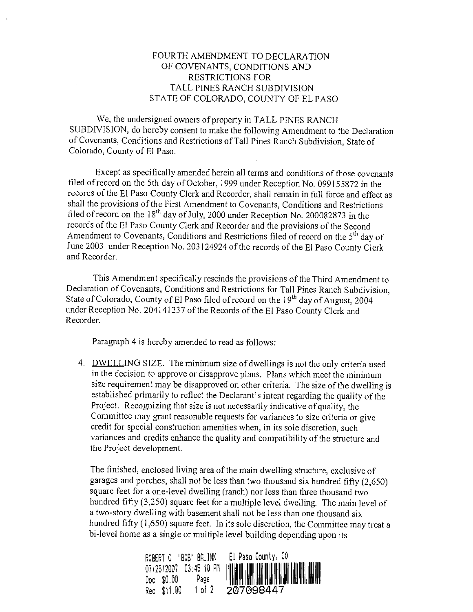# FOURTH AMENDMENT TO DECLARATION OF COVENANTS, CONDITIONS AND RESTRICTIONS FOR TALL PINES RANCH SUBDIVISION STATE OF COLORADO, COUNTY OF EL PASO

We, the undersigned owners of property in TALL PINES RANCH SUBDIVISION, do hereby consent to make the following Amendment to the Declaration of Covenants, Conditions and Restrictions of Tall Pines Ranch Subdivision, State of Colorado, County of El Paso.

Except as specifically amended herein all terms and conditions of those covenants filed of record on the 5th day of October, 1999 under Reception No. 099155872 in the records of the El Paso County Clerk and Recorder, shall remain in full force and effect as shall the provisions of the First Amendment to Covenants, Conditions and Restrictions filed of record on the 18th day of July, 2000 under Reception No. 200082873 in the records of the El Paso County Clerk and Recorder and the provisions of the Second Amendment to Covenants, Conditions and Restrictions filed of record on the 5<sup>th</sup> day of June 2003 under Reception No. 203124924 of the records of the El Paso County Clerk and Recorder.

This Amendment specifically rescinds the provisions of the Third Amendment to Declaration of Covenants, Conditions and Restrictions for Tall Pines Ranch Subdivision, State of Colorado, County of El Paso filed of record on the  $19<sup>th</sup>$  day of August, 2004 under Reception No. 204141237 of the Records of the El Paso County Clerk and Recorder.

Paragraph 4 is hereby amended to read as follows:

4. DWELLING SIZE. The minimum size of dwellings is not the only criteria used in the decision to approve or disapprove plans. Plans which meet the minimum size requirement may be disapproved on other criteria. The size of the dwelling is established primarily to reflect the Declarant's intent regarding the quality of the Project. Recognizing that size is not necessarily indicative of quality, the Committee may grant reasonable requests for variances to size criteria or give credit for special construction amenities when, in its sole discretion, such variances and credits enhance the quality and compatibility of the structure and the Project development.

The finished, enclosed living area of the main dwelling structure, exclusive of garages and porches, shall not be less than two thousand six hundred fifly (2,650) square feet for a one-level dwelling (ranch) nor less than three thousand two hundred fifly (3,250) square feet for a multiple level dwelling. The main level of a two-story dwelling with basement shall not be less than one thousand six hundred fifly (1,650) square feet. In its sole discretion, the Committee may treat a bi-level home as a single or multiple level building depending upon its

| ROBERT C. "BOB" BALINK  | El Paso County, CO |
|-------------------------|--------------------|
|                         |                    |
|                         |                    |
| 1 of $2$<br>Rec \$11.00 | 207098447          |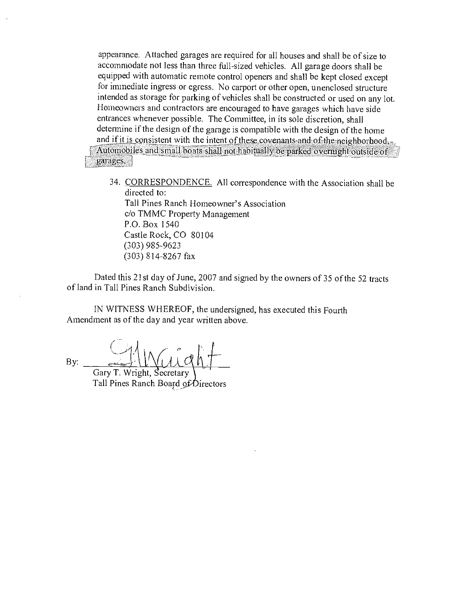appearance. Attached garages are required for all houses and shall be of size to accommodate not less than three full-sized vehicles. All garage doors shall be equipped with automatic remote control openers and shall be kept closed except for immediate ingress or egress. No carport or other open, unenclosed structure intended as storage for parking of vehicles shall be constructed or used on any lot. Homeowners and contractors are encouraged to have garages which have side entrances whenever possible. The Committee, in its sole discretion, shall determine if the design of the garage is compatible with the design of the home and if it is consistent with the intent of these covenants and of the neighborhood. Automobiles and small boats shall not habitually be parked overnight outside of garages.

34. CORRESPONDENCE. All correspondence with the Association shall be directed to: Tall Pines Ranch Homeowner's Association c/o TMMC Property Management P.O. Box 1540 Castle Rock, CO 80104 (303) 985-9623 (303) 814-8267 fax

Dated this 21st day of June, 2007 and signed by the owners of 35 of the 52 tracts of land in Tall Pines Ranch Subdivision.

IN WITNESS WHEREOF, the undersigned, has executed this Fourth Amendment as of the day and year written above.

By:

Gary T. Wright, Secretary Tall Pines Ranch Board of Directors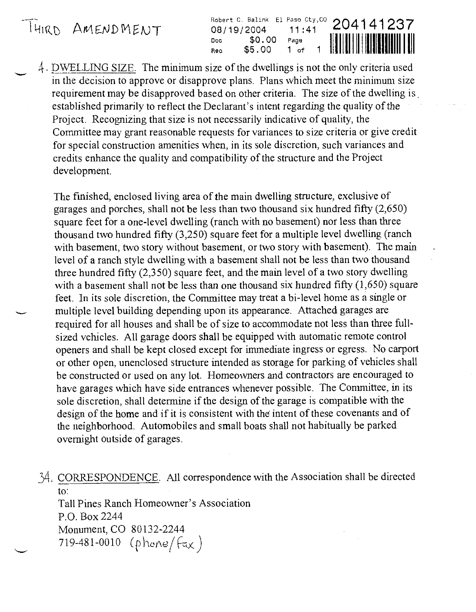Fobert C. Balink El Paso Cty, CO 204141237<br>11:41 **DB**/19/2004 11:41 **DB**/11:41 Doc \$0.00 Page<br>Rec \$5.00 1 of  $$5.00$ Rec

4. DWELLING SIZE. The minimum size of the dwellings is not the only criteria used in the decision to approve or disapprove plans. Plans which meet the minimum size requirement may be disapproved based on other criteria. The size of the dwelling is established primarily to reflect the Declarant's intent regarding the quality of the Project. Recognizing that size is not necessarily indicative of quality, the Committee may grant reasonable requests for variances to size criteria or give credit for special construction amenities when, in its sole discretion, such variances and credits enhance the quality and compatibility of the structure and the Project development.

The finished, enclosed living area of the main dwelling structure, exclusive of garages and porches, shall not be less than two thousand six hundred fifty (2,650) square feet for a one-level dwelling (ranch with no basement) nor less than three thousand two hundred fifty (3,250) square feet for a multiple level dwelling (ranch with basement, two story without basement, or two story with basement). The main level of a ranch style dwelling with a basement shall not be less than two thousand three hundred fifty (2,350) square feet, and the main level of a two story dwelling with a basement shall not be less than one thousand six hundred fifty  $(1,650)$  square feet. In its sole discretion, the Committee may treat a bi-level home as a single or multiple level building depending upon its appearance. Attached garages are required for all houses and shall be of size to accommodate not less than three fullsized vehicles. All garage doors shall be equipped with automatic remote control openers and shall be kept closed except for immediate ingress or egress. No carport or other open, unenclosed structure intended as storage for parking of vehicles shall be constructed or used on any lot. Homeowners and contractors are encouraged to have garages which have side entrances whenever possible. The Committee, in its sole discretion, shall determine if the design of the garage is compatible with the design of the home and if it is consistent with the intent of these covenants and of the neighborhood. Automobiles and small boats shall not habitually be parked overnight outside of garages.

34. CORRESPONDENCE. All correspondence with the Association shall be directed to:

Tall Pines Ranch Homeowner's Association P.O. Box 2244 Monument, CO 80 132-2244 719-481-0010 (phone/ $\{\epsilon_{\mathsf{X}}\}$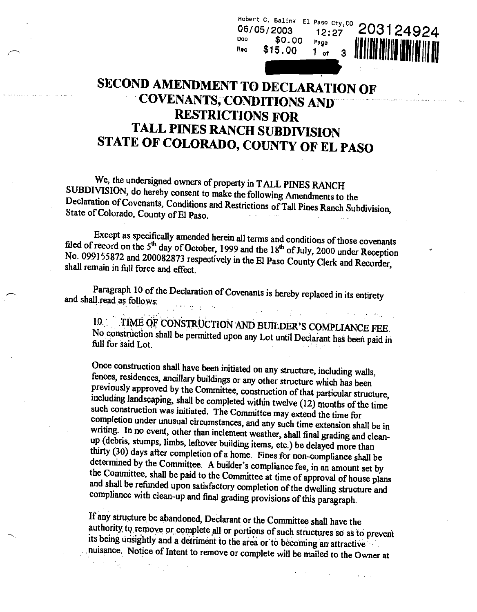SECOND AMENDMENT TO DECLARATION OF COVENANTS, CONDITIONS AND RESTRICTIONS FOR TALL PINES RANCH SUBDIVISION STATE OF COLORADO, COUNTY OF EL PASO

Doo

Robert C. Balink El Paso Cty, CO 06/0512003

 $\begin{bmatrix} 5/2003 & 12:27 \\ 0.00 & \frac{1}{2} \end{bmatrix} \begin{bmatrix} 203124924 \\ 0.00 & \frac{1}{1} \end{bmatrix}$ 

 $R_{\rm{e}}$   $\frac{1}{2}$   $\frac{1}{2}$   $\frac{1}{2}$   $\frac{1}{2}$   $\frac{1}{2}$   $\frac{1}{2}$   $\frac{1}{2}$   $\frac{1}{2}$   $\frac{1}{2}$   $\frac{1}{2}$   $\frac{1}{2}$   $\frac{1}{2}$   $\frac{1}{2}$   $\frac{1}{2}$   $\frac{1}{2}$   $\frac{1}{2}$   $\frac{1}{2}$   $\frac{1}{2}$   $\frac{1}{2}$   $\frac{1}{2}$   $\frac{1}{2}$ 

We, the undersigned owners of property in TALL PINES RANCH<br>SUBDIVISION, do hereby consent to make the following Amendments to the<br>Declaration of Covenants, Conditions and Restrictions of Tall Pines Ranch Subdivision,<br>State

Except as specifically amended herein all terms and conditions of those covenants filed of record on the  $5<sup>th</sup>$  day of October, 1999 and the  $18<sup>th</sup>$  of July, 2000 under Reception No. 099155872 and 200082873 respec

Paragraph 10 of the Declaration of Covenants is hereby replaced in its entirety and shall read as follows:

10. TIME OF CONSTRUCTION AND BUILDER'S COMPLIANCE FEE.<br>No construction shall be permitted upon any Lot until Declarant has been paid in full for said Lot.

Once construction shall have been initiated on any structure, including walls, fences, residences, ancillary buildings or any other structure which has been previously approved by the Committee, construction of that partic including landscaping, shall be completed within twelve (12) months of the time<br>such construction was initiated. The Committee may extend the time for<br>completion under unusual circumstances, and any such time extension sha and shall be refunded upon satisfactory completion of the dwelling structure and compliance with clean-up and final grading provisions of this paragraph.

If any structure be abandoned, Declarant or the Committee shall have the authority to remove or complete all or portions of such structures so as to prevent its being unsightly and a detriment to the area or to becoming an attractive nuisance. . Notice of Intent to remove or complete will be mailed to the Owner at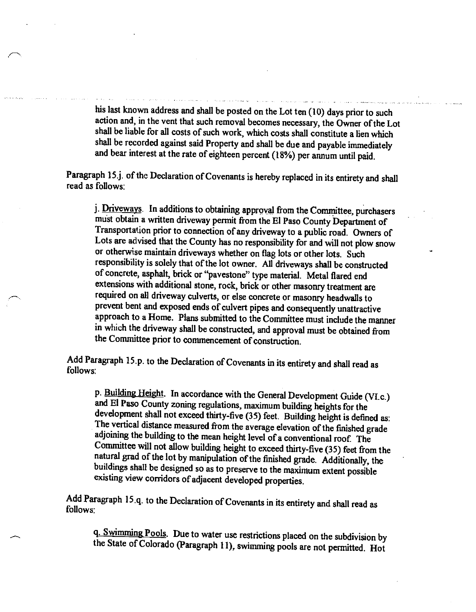his last known address and shall be posted on the Lot ten (10) days prior to such action and, in the vent that such removal becomes necessary, the Owner of the Lot shall be liable for all costs of such work, which costs shall constitute a lien which shall be recorded against said Property and shall be due and payable immediately and bear interest at the rate of eighteen percent (18%) per annum until paid.

Paragraph 15.j. of the Declaration of Covenants is hereby replaced in its entirety and shall read as follows:

j. Driveways. In additions to obtaining approval from the Committee, purchasers must obtain a written driveway permit from the El Paso County Department of Transportation prior to connection of any driveway to a public road. Owners of Lots are advised that the County has no responsibility for and will not plow snow or otherwise maintain driveways whether on flag lots or other lots. Such responsibility is solely that of the lot owner. All driveways shall be constructed of concrete, asphalt, brick or "pavestone" type material. Metal flared end extensions with additional stone, rock, brick or other masonry treatment are required on all driveway culverts, or else concrete or masonry headwalls to prevent bent and exposed ends of culvert pipes and consequently unattractive approach to a Home. Plans submitted to the Committee must include the manner in which the driveway shall be constructed, and approval must be obtained from the Committee prior to commencement of construction.

Add Paragraph 15.p. to the Declaration of Covenants in its entirety and shall read as follows:

p. Building Height. In accordance with the General Development Guide (VI.c.) and El Paso County zoning regulations, maximum building heights for the development shall not exceed thirty-five (35) feet. Building height is de Committee will not allow building height to exceed thirty-five (35) feet from the natural grad of the lot by manipulation of the finished grade. Additionally, the buildings shall be designed so as to preserve to the maximum extent possible existing view corridors of adjacent developed properties.

Add Paragraph 15.q. to the Declaration of Covenants in its entirety and shall read as follows:

q. Swimming Pools. Due to water use restrictions placed on the subdivision by the State of Colorado (Paragraph 11), swimming pools are not permitted. Hot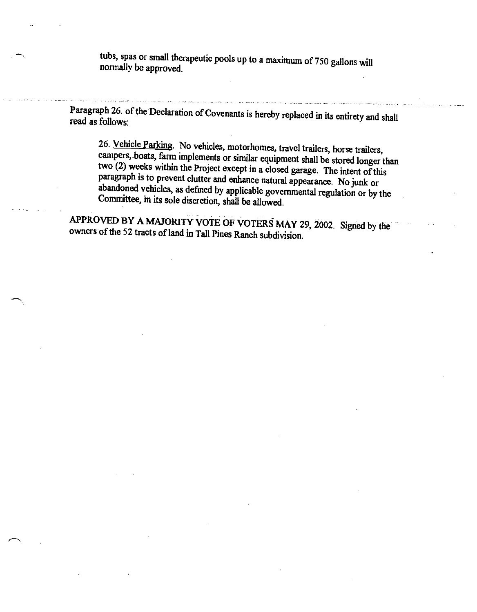tubs, spas or small therapeutic pools up to a maximum of 750 gallons will normally be approved.

Paragraph 26. of the Declaration of Covenants is hereby replaced in its entirety and shall read as follows:

26. Vehicle Parking. No vehicles, motorhomes, travel trailers, horse trailers, campers, boats, farm implements or similar equipment shall be stored longer than two (2) weeks within the Project except in a closed garage. Th

APPROVED BY A MAJORITY VOTE OF VOTERS MAY 29, 2002. Signed by the owners of the 52 tracts of land in Tall Pines Ranch subdivision.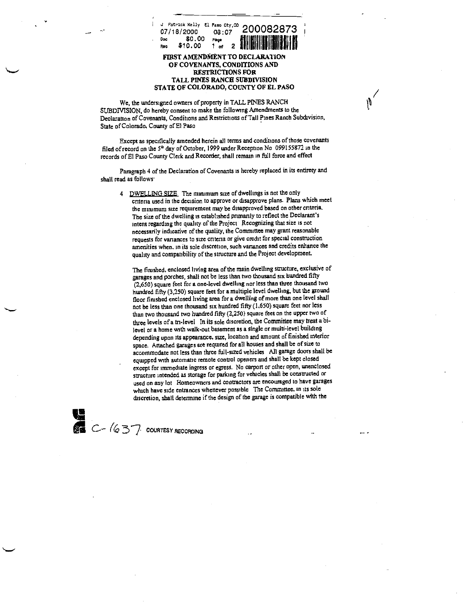

#### FIRST AMENDMENT TO DECLARATION OF COVENANTS, CONDITIONS AND RESTRICTIONS FOR TALL PINES RANCH SUBDIVISION STATE OF COLORADO, COUNTY OF EL PASO

 $\mathfrak{g}'$ 

We, the undersigned owners of property in TALL PINES RANCH SUBDIVISION, do hereby consent to make the following Amendments to the Declaration of Covenants, Conditions and Restrictions of Tall Pines Ranch Subdivision. State of Colorado, County of El Paso

Except as specifically amended herein all terms and conditions of those covenants filed of record on the 5<sup>th</sup> day of October, 1999 under Reception No 099155872 in the records of El Paso County Clerk and Recorder, shall remain in full force and effect

Paragraph 4 of the Declaration of Covenants is hereby replaced in its entirety and shall read as follows<sup>.</sup>

4 DWELLING SIZE The minimum size of dwellings is not the only criteria used in the decision to approve or disapprove plans. Plans which meet the minimum size reqwrement may be disapproved based on other criteria. The size of the dwelling is established primarily to reflect the Declarant's intent regarding the quality of the Project Recognizing that size is not necessarily indicative of the quality, the Committee may grant reasonable requests for variances to size cnteria or give credit for special construction amenities when, in its sole discretion, such vanances and credits enhance the quality and compatibility of the structure and the Project development.

The finished, enclosed living area of the main dwelling structure, exclusive of garages and porches, shall not be less than two thousand six hundred fifty (2,650) square feet for a one-level dwelling nor less than three thousand two hundred fifty (3,250) square feet for a multiple level dwelling, but the ground floor finished enclosed living area for a dwelling of more than one level shall not be Less than one thousand six hundred fifty (1,650) square feet nor less than two thousand two hundred fifty (2,250) square feet on the upper two of three levels of a tn-level In its sole discretion, the Committee may treat a bilevel or a home with walk-out basement as a single or multi-level building depending upon its appearance, size, location and amount of finished interior space. Attached garages are reqwred for all houses and shall be of size to accommodate not less than three full-sized vehicles All garage doors shall be equipped with automatic remote control openers and shall be kept closed except for immediate ingress or egress. No carport or other open, unenclosed structure intended as storage for parking for vehicles shall be constructed or used on any lot Homeowners and contractors are encouraged to have garages which have side entrances whenever possible The Committee, in its sole discretion, shall determine if the design of the garage is compatible with the

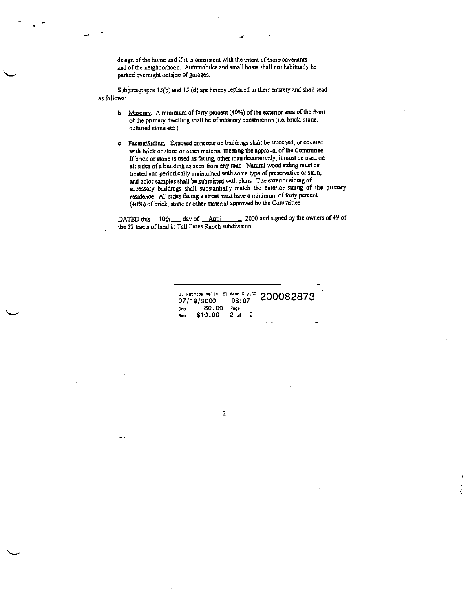design of the home and if it is consistent with the intent of these covenants and of the neighborhood. Automobiles and small boats shall not habitually be parked overnight outside of garages.

-a

Subparagraphs 15(b) and 15 (d) are hereby replaced in their entirety and shall read as follows

- b Masonry. A minimum of forty percent (40%) of the exterior area of the front of the primary dwelling shall be of masonry construction (i.e. brick, stone, cultured stone etc)
- c Facing/Siding. Exposed concrete on buildings shall be stuccoed, or covered with brick or stone or other material meeting the approval of the Committee If brick or stone is used as fkcing, other than decoratively, it must be used on all sides of a building as seen from any road Natural wood siding must be treated and periodically maintained with some type of preservative or stain, and color samples shall be submitted with plans The exterior siding of accessory buildings shall substantially match the exterior siding of the pnmary residence All sides facing a street must have a minimum of forty percent (40%) of brick, stone or other material approved by the Committee

DATED this 10th day of April 2000 and signed by the owners of 49 of the 52 tracts of land in Tall Pines Ranch subdivision.

> J. Patrick Kelly 21 Paso Cty,  $\infty$  200082873 07/18/2000 08:07<br>Doo \$0.00 Page 0cc \$0.00 Page<br>Rec \$10.00 2 of 2  $A_{60}$  \$10.00

> > 2

... ..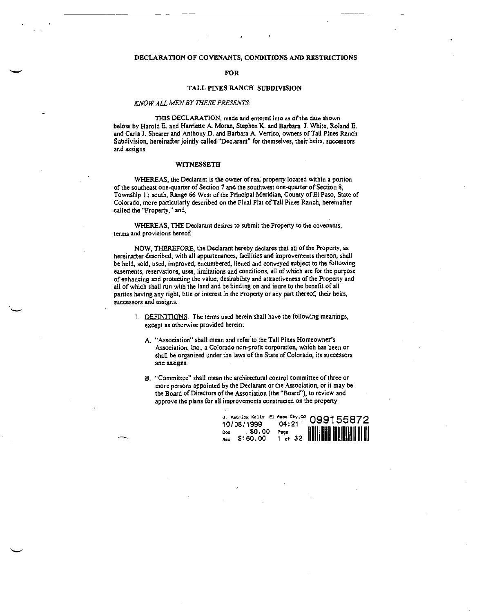## DECLARATION OF COVENANTS, CONDITIONS AND RISTRICTIONS

## FOR

## TALL PINES RANCH SUBDIVISION

#### KNOW ALL MEN BY THESE PRESENTS:

THIS DECLARATION, made and entered into as of the date shown below by Harold E. and Harriette A. Moran, Stephen K. and Barbara I. White, Roland E. and Carla J. Shearer and Anthony D. and Barbara A. Verrico, owners of Tall Pines Ranch Subdivision, hereinafter jointly called "Declarant' for themselves, their heirs, successors and assigns:

#### **WITNESSETH**

WHEREAS, the Declarant is the owner of real property located within a portion of the southeast one-quarter of Section 7 and the southwest one-quarter of Section 2, Township II south, Range 66 West of the Principal Meridian, County of El Paso, State of Colorado, more particularly described on the Final Plat of Tall Pines Ranch, hereinafter called the "Property," and,

WHEREAS, THE Declarant desires to submit the Property to the covenants, terms and provisions hereof

NOW, THEREFORE, the Declarant hereby declares that all of the Property, as hereinafter described, with all appurtenances, facilities and improvements thereon, shall be held, sold, used, improved, encumbered, liened and conveyed subject to the following easements, reservations, uses, limitations and conditions, all of which are for the purpose of enhancing and protecting the value, desirability and attractiveness of the Property and all of which shall mn with the land and be binding on and inure to the benefit of all parties having any right, title or interest in the Property or any part thereof, their heirs, successors and assigns.

- I. DEFINITIONS. The terms used herein shall have the following meanings, except as otherwise provided herein:
	- A. "Association" shall mean and refer to the Tall Pines Homeowner's Association, Inc., a Colorado non-profit corporation, which has been or shall be organized under the laws of the State of Colorado, its successors and assigns.
	- B. "Committee" shall mean the architectural control committee of three or more persons appointed by the Declarant or the Association, or it may be the Board of Directors of the Association (the "Board"), to review and approve the plans for all improvements constructed on the property.

|     | 10/05/1999 04:21                    |      | J. Patrick Kelly El Paso Cty, $\infty$ 099155872 |
|-----|-------------------------------------|------|--------------------------------------------------|
| Reo | $E_{\text{Dec}}$ \$0.00<br>\$160.00 | Page |                                                  |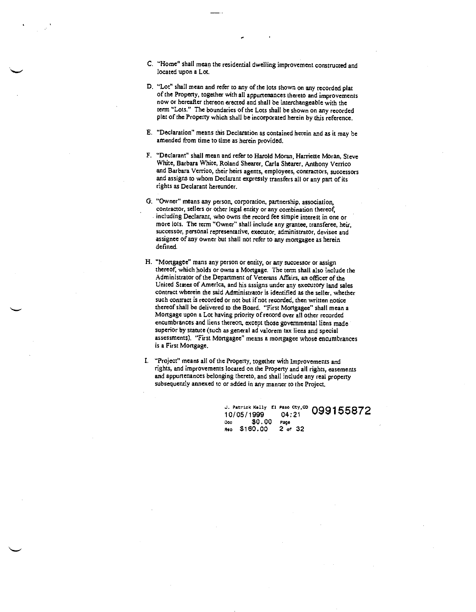- C. "Home" shall mean the residential dwelling improvement constructed and located upon a Lot.
- El. "Lot" shall mean and refer to any of the lots shown on any recorded plat or the Property, together with all appurtenances thereto and improvements now or hereafter thereon erected and shall be interchangeable with the term "Lots." The boundaries of the Lots shall be shown on any recorded plat of the Property which shall be incorporated herein by this reference.
- E. "Declaration" means this Declaration as contained herein and as it may be amended from time to time as herein provided.
- F. "Declarant" shall mean and refer to Harold Moran, Harriette Moran, Steve White, Barbara White, Roland Shearer, Carla Shearer, Anthony Verrico and Barbara Verrico, their heirs agents, employees, contractors, successors and assigns to whom Declarant expressly transfers all or any part of its rights as Declarant hereunder.
- 0. "Owner" means any person, corporation, partnership, association, contractor, sellers or other legal entity or any combination thereof, including Declarant, who owns the record fee simple interest in one or more lots. The term "Owner" shall include any grantee, transferee, heir, successor, personal representative, executor, administrator, devisee and assignee of any owner but shall not refer to any mortgagee as herein deflned.
- H. "Mortgagee" mans any person or entity, or any successor or assign thereof, which holds or owns a Mortgage. The terni shall also include the Administrator of the Department of Veterans Affairs, an officer of the United States of America, and his assigns under any executory land sales contract wherein the said Administrator is identified as the seller, whether such contract is recorded or not but if not recorded, then written notice thereof shall be delivered to the Board. "First Mortgagee" shall mean a Mortgage upon a Lot having priority of record over all other recorded encumbrances and liens thereon, except those governmental liens made superior by statute (such as general ad valorem tax liens and special assessments). "First Mortgagee" means a mortgagee whose encumbrances is a First Mortgage.
- "Project" means all of the Property, together with Improvements and rights, and improvements located on the Property and all rights, easements and appurtenances belonging thereto, and shall include any real property subsequently annexed to or added in any manner to the Project.

J. Patrick Kelly El Paso Cty, CO 099155872 10/05/1999 04:21 Doc \$0.00 Page<br>Rec \$160.00 2 of 32 Rec \$160.00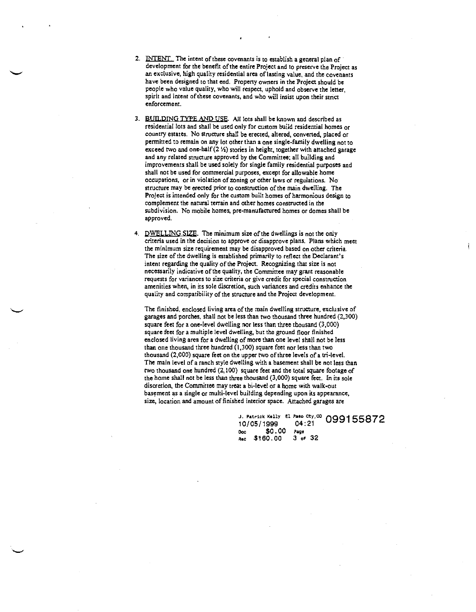- 2. INTENT. The intent of these covenants is to establish a general plan of development for the benefit of the entire Project and to preserve the Project as an exclusive, high quality residential area of lasting value, and the covenants have been designed to that end. Property owners in the Project should be people who value quality, who will respect, uphold and observe the letter, spirit and intent of these covenants, and who will insist upon their strict enforcement.
- 3. BUILDING TYPE AND USE. All lots shall be known and described as residential lots and shall be used only for custom build residential homes or country estates. No structure shall be erected, altered, converted, placed or permitted to remain on any lot other than a one single-family dwelling not to exceed two and one-half  $(2 \frac{1}{4})$  stories in height, together with attached garage and any related structure approved by the Committee; all building and improvements shall be used solely for single family residential purposes and shall not be used for commercial purposes, except for allowable home occupations, or in violation of zoning or other laws or regulations. No structure may be erected prior to construction of the main dwelling. The Project is intended only for the custom built homes of harmonious design to complement the natural terrain and other homes constructed in the subdivision. No mobile homes, pre-manufactured homes or domes shall be approved.
- 4. DWELLING SIZE. The minimum size of the dwellings is not the only criteria used in the decision to approve or disapprove plans. Plans which meet the minimum size requirement may be disapproved based on other criteria. The size of the dwelling is established primarily to reflect the Declarant's intent regarding the quality of the Project. Recognizing that size is not necessarily indicative of the quality, the Committee may grant reasonable requests for variances to size criteria or give credit for special construction amenities when, in its sole discretion, such variances and credits enhance the quality and compatibility of the structure and the Project development.

The finished, enclosed living area of the main dwelling structure, exclusive of garages and porches, shall not be less than two thousand three hundred (2,300) square feet for a one-level dwelling nor less than three thousand (3,000) square feet for a multiple level dwelling, but the ground floor finished enclosed living area for a dwelling of more than one level shall not be less than one thousand three hundred (1,300) square feet nor less than two thousand (2,000) square feet on the upper two of three levels of a tri-level. The main level of a ranch style dwelling with a basement shall be not less than two thousand one hundred (2,100) square feet and the total square footage of the home shall not be less than three thousand (3,000) square feet. In its sole discretion, the Committee may treat a bi-Level or a home with walk-out basement as a single or multi-level building depending upon its appearance, size, location and amount of finished interior space. Attached garages are

> J. Patrick Kelly El Paso Cty,<sup>00</sup> 0001 10/05/1999 04:21 10/05/1999 04:21<br>Doc \$0.00 Page<br>Rec \$160.00 3 of 32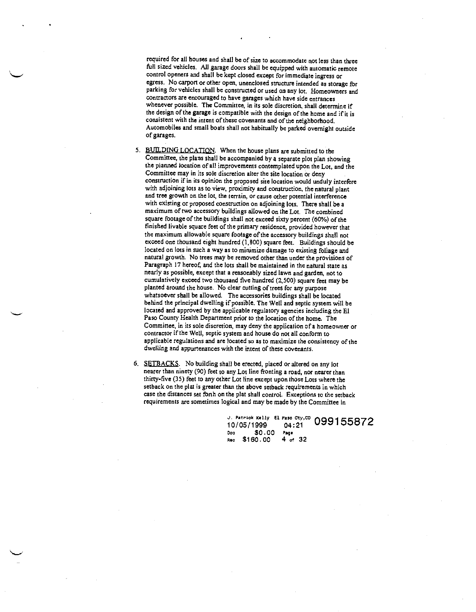required for all houses and shall be of size to accommodate not less than three full sized vehicles. All garage doors shall be equipped with automatic remote control openers and shall be kept closed except for immediate ingress or egress. No carport or other open, unenclosed structure intended as storage for parking for vehicles shall be constructed or used on any lot, Homeowners and contractors are encouraged to have garages which have side entrances whenever possible. The Committee, in its sole discretion, shall determine if the design of the garage is compatible with the design of the home and if it is consistent with the intent of these covenants and of the neighborhood. Automobiles and small boats shall not habitually be parked overnight outside of garages.

5. BUILDING LOCATION. When the house plans are submitted to the Committee, the plans shall be accompanied by <sup>a</sup> separate plot plan showing the planned location of all improvements contemplated upon the Lot, and the Committee may in its sole discretion alter the site location or deny construction if in its opinion the proposed site location would unduly interfere with adjoining lots as to view, proximity and construction, the natural plant and tree growth on the lot, the terrain, or cause other potential interference with existing or proposed construction on adjoining lots. There shall be a maximum of two accessory buildings allowed on the Lot. The combined square footage of the buildings shall not exceed sixty percent (60%) of the finished livable square feet of the primary residence, provided however that the maximum allowable square footage of the accessory buildings shall not exceed one thousand eight hundred (1,800) square feet. Buildings should be located on lots in such a way as to minimize damage to existing foliage and natural growth. No trees may be removed other than under the provisions of Paragraph 17 hereof, and the lots shall be maintained in the natural state as nearly as possible, except that a reasonably sized lawn and garden, not to cumulatively exceed two thousand five hundred (2,500) square feet may be planted around the house. No clear cutting of trees for any purpose whatsoever shall be allowed. The accessories buildings shall be located behind the principal dwelling if possible. The Well and septic system will be located and approved by the applicable regulatory agencies including the El Paso County Health Department prior to the location of the home. The Committee, in its sole discretion, may deny the application of a homeowner or contractor if the Well, septic system and house do not all conform to applicable regulations and are located so as to maximize the consistency of the dwelling and appurtenances with the intent of these covenants.

6. SETBACKS. No building shall be erected, placed or altered on any lot nearer than ninety (90) feet to any Lot line fronting a road, nor nearer than thirty-five (35) feet to any other Lot line except upon those Lots where the setback on the plat is greater than the above setback requirements in which case the distances set forth on the plat shall control. Exceptions to the setback requirements are sometimes logical and may be made by the Committee in

> J. Patrick Kelly El Paso Cty, CO  $\bigcap_{i=1}$ 10/05/1999 04:21 Doe \$0.00 Page<br>Rec \$160.00 4 of 32 Rec \$160.00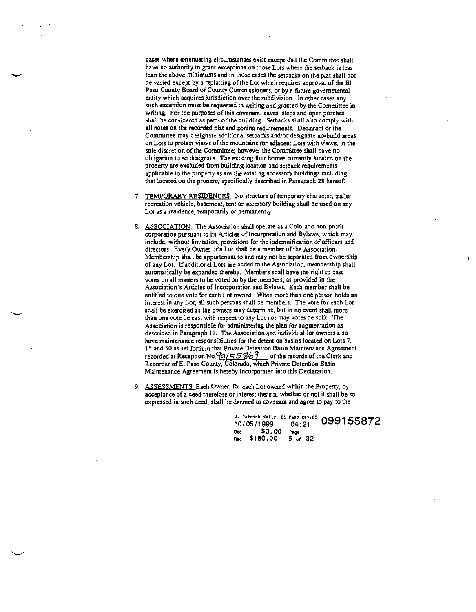cases where extenuating circumstances exist except that the Committee shall have no authority to grant exceptions on those Lots where the setback is less than the above minimums and in those cases the setbacks on the plat shall not be varied except by a replatting of the Lot which requires approval of tbe El Paso County Board of County Commissioners, or by a thture governmental entity which acquires jurisdiction over the subdivision. In other cases any such exception must be requested in writing and granted by the Committee in writing. For the purposes of this covenant, eaves, steps and open porches shall be considered as parts of the building. Setbacks shall also comply with all notes on the recorded plat and zoning requirements. Declarant or the Committee may designate additional setbacks and/or designate no-build areas on Lots to protect views of the mountains for adjacent Lots with views, in the sole discretion of the Committee; however the Committee shall have no obligation to so designate. The existing four homes currently located on the property are excluded from building location and setback requirements applicable to the property as are the existing accessory buildings including that located on the property specifically described in Paragraph 28 hereof.

- 7. TEMPORARY RESIDENCES. No structure of temporary character, trailer, recreation vehicle, basement, tent or accessory building shall be used on any Lot as a residence, temporarily or permanently.
- 8. ASSOCIATION. The Association shall operate as a Colorado non-profit corporation pursuant to its Articles of Incorporation.and Bylaws, which may include, without limitation, provisions for the indemnification of officers and directors. Every Owner of a Lot shall be a member of the Association. Membership shall be appurtenant to and may not be separated from ownership of any Lot. If additional Lots are added to the Association, membership shall automatically be expanded thereby. Members shall have the right to cast votes on all matters to be voted on by the members, as provided in the Association's Articles of Incorporation and Bylaws. Each member shall be entitled to one vote for each Lot owned. When more than one person holds an interest in any Lot, all such persons shall be members. The vote for each Lot shall be exercised as the owners may determine, but in no event shall more than one vote be cast with respect to any Lot nor may votes be split. The Association is responsible for administering the plan for augmentation as described in Paragraph II, The Association and individual lot owoers also have maintenance responsibilities for the detention basins located on Lots 7, IS and 50 as set forth in that Private Detention Basin Maintenance Agreement recorded at Reception No.  $99/5586$  of the records of the Clerk and Recorder of El Paso County, Colorado, which Private Detention Basin Maintenance Agreement is hereby incorporated into this Declaration.
- 9. ASSESSMENTS. Each Owner, for each Lot owned within the Property, by acceptance of a deed therefore or interest therein, whether or not it shall be so expressed in such deed, shall be deemed to covenant and agree to pay to the

J. Patrick Kelly El Paso Cty, CO 099155872 10/05/1999 04:21 0oc \$0.00 Page<br>Rec \$160.00 5 of 32 Rec \$160.00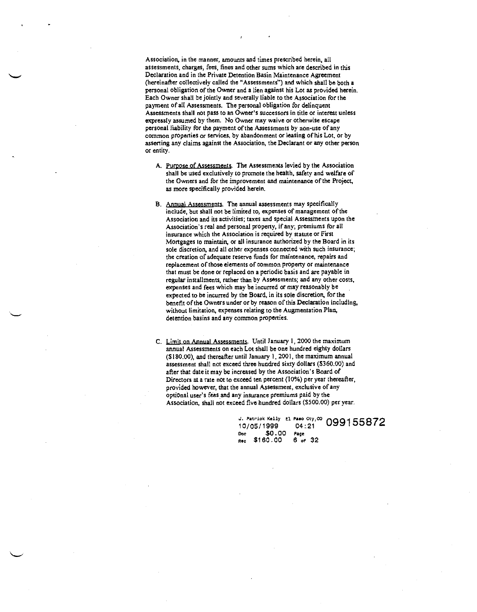Association, in the manner, amounts and times prescribed herein, all assessments, charges, fees, fines and other sums which are described in this Declaration and in the Private Detention Basin Maintenance Agreement (hereinafter collectively called the "Assessments") and which shall be both a personal obligation of the Owner and a lien against his Lot as provided herein. Each Owner shall be jointly and severally liable to the Association for the payment of all Assessments. The personal obligation for delinquent Assessments shall not pass to an Owner's successors in title or interest unless expressly assumed by them, No Owner may waive or otherwise escape personal liability for the payment of the Assessments by non-use of any common properties or services, by abandonment or leasing of his Lot, or by asserting any claims against the Association, the Declarant or any other person or entity.

- A. Purpose of Assessments. The Assessments levied by the Association shall be used exclusively to promote the health, safety and welfare of the Owners and for the improvement and maintenance of the Project, as more specifically provided herein.
- B. Annual Assessments. The annual assessments may specifically include, but shall not be limited to, expenses of management of the Association and its activities; taxes and special Assessments upon the Association's real and personal property, if any; premiums for all insurance which the Association is required by statute or First Mortgages 10 maintain, or all insurance authorized by the Board in its sole discretion, and all other expenses connected with such insurance; the creation of adequate reserve finds for maintenance, repairs and replacement of those elements of common property or maintenance that must be done or replaced on a periodic basis and are payable in regular installments, rather than by Assessments; and any other costs, expenses and fees which may be incurred or may reasonably be expected to be incurred by the Board, in its sole discretion, for the benefit of the Owners under or by reason of this Declaration includins, without limitation, expenses relating to the Augmentation Plan, detention basins and any common properties.
- C. Limit on Annual Assessments. Until January 1,2000 the maximum annual Assessments on each Lot shall be one hundred eighty dollars (\$180.00), and thereafter until January 1, 2001, the maximum annual assessment shall not exceed three hundred sixty dollars (\$360.00) and after that date it may be increased by the Association's Board of Directors at a rate not to exceed ten percent (10%) per year thereafter, provided however, that the annual Assessment, exclusive of any optional user's fees and any insurance premiums paid by the Association, shall not exceed five hundred dollars (\$500.00) per year.

J. Patrick Kelly El Paso Cty,<sup>00</sup> 0991<br>10/05/1999 04:21 Doc \$0.00 Page<br>Rec \$160.00 6 of Rec \$160.00 6 of 32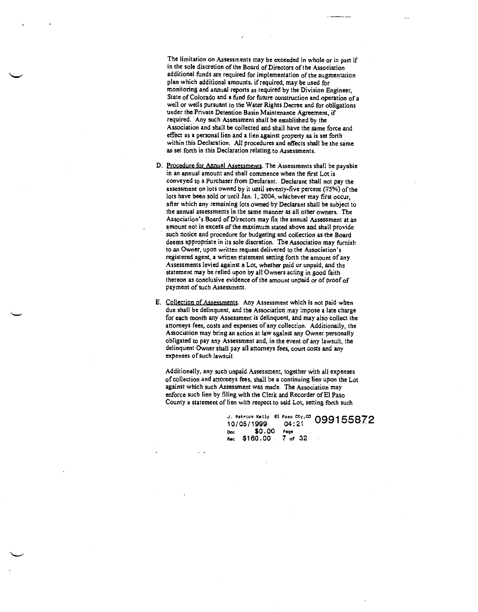The limitation on Assessments may be exceeded in whole or in part if in the sole discretion of the Board of Directors of the Association additional funds are required for implementation of the augmentation plan which additional amounts, if required, may be used for monitoring and annual reports as required by the Division Engineer. State of Colorado and a fund for future construction and operation of a welt or wells pursuant to the Water Rights Decree and for obligations under the Private Detention Basin Maintenance Agreement, if required. Any such Assessment shall be established by the Association and shall be collected and shalt have the same force and effect as a personal lien and a lien against property as is set forth within this Declaration. All procedures and effects shall be the same as set forth in this Declaration relating to Assessments.

D. Procedure for Annual Assessments. The Assessments shall be payable in an annual amount and shall commence when the first Lot is conveyed to a Purchaser from Declarant. Declarant shall not pay the assessment on lots owned by it until seventy-five percent (75%) of the lots have been sold or until Jan. 1, 2004, whichever may first occur, after which any remaining lots owned by Declarant shall be subject to the annual assessments in the same manner as all other owners. The Association's Board of Directors may fix the annual Assessment at an amount not in excess of the maximum stated above and shalt provide such notice and procedure for budgeting and collection as the Board deems appropriate in its sole discretion. The Association may furnish to an Owner, upon written request delivered to the Association's registered agent, a written statement setting forth the amount of any Assessments levied against a Lot, whether paid or unpaid, and the statement may be relied upon by all Owners acting in good faith thereon as conclusive evidence of the amount unpaid or of proof of payment of such Assessment.

E. Collection of Assessments. Any Assessment which is not paid when due shall be delinquent, and the Association may impose a late charge for each month any Assessment is detinquent, and may also collect the attorneys fees, costs and expenses of any collection. Additionally, the Association may bring an action at law against any Owner personally obligated to pay any Assessment and, in the event of any lawsuit, the delinquent Owner shall pay all attorneys fees, court costs and any expenses of such lawsuit.

Additionally, any such unpaid Assessment, together with all expenses of collection and attorneys fees, shall be a continuing lien upon the Lot against which such Assessment was made, The Association may enforce such lien by filing with the Clerk and Recorder ofEl Paso County a statement of lien with respect to said Lot, setting forth such

> J. Patrick Kelly El Paso Cty, CO  $\bigcap$ 10/05/1999 04:21 Ooc \$0.00 Page \$160.00 7 of <sup>32</sup>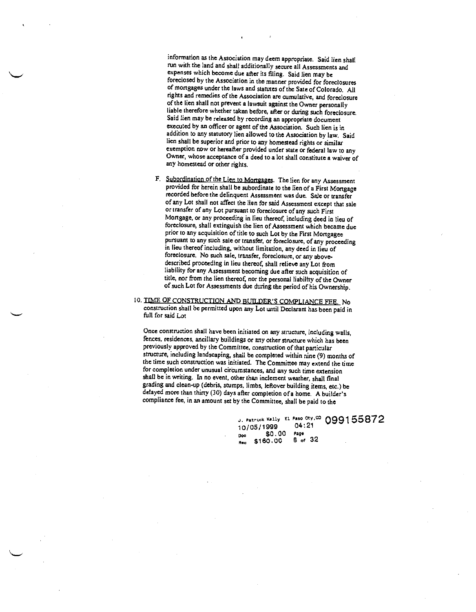information as the Association may deem appropriate. Said lien shall run with the land and shall additionally secure all Assessments and expenses which become due after its filing. Said lien may be foreclosed by the Association in the manner provided for foreclosures of mortgages under the laws and statutes of the Sate of Colorado. All rights and remedies of the Association are cumulative, and foreclosure of the lien shall not prevent a lawsuit against the Owner personally liable therefore whether taken before, after or during such foreclosure. Said lien may be released by recording an appropriate document executed by an officer or agent of the Association. Such lien is in addition to any statutory lien allowed to the Association bylaw. Said lien shall be superior and prior to any homestead rights or similar exemption now or hereafter provided under state or federal law to any Owner, whose acceptance of a deed to a lot shall constitute a waiver of any homestead or other rights.

- F. Subordination of the Lien to Mortgages. The lien for any Assessment provided for herein shall be subordinate to the lien of a First Mortgage recorded before the delinquent Assessment was due. Sale or transfer of any Lot shall not affect the lien for said Assessment except that sale or transfer of any Lot pursuant to foreclosure of any such First Mortgage, or any proceeding in lieu thereof, including deed in lieu of foreclosure, shall extinguish the lien of Assessment which became due prior to any acquisition of title to such Lot by the First Mortgagee pursuant to any such sale or transfer, or foreclosure, of any proceeding in lieu thereof including, without limitation, any deed in lieu of foreclosure. No such sale, transfer, foreclosure, or any abovedescribed proceeding in lieu thereof, shall relieve any Lot from liability for any Assessment becoming due after such acquisition of title, nor from the lien thereof, nor the personal liability of the Owner of such Lot for Assessments due during the period of his Ownership.
- 10. TIME OF CONSTRUCTION AND BUILDER'S COMPLIANCE FEE. No construction shall be permitted upon any Lot until Declarant has been paid in fill for said Lot

Once construction shall have been initiated on any structure, including walls, fences, residences, ancillary buildings or any other structure which has been previously approved by the Committee, construction of that particular structure, including landscaping, shall be completed within nine (9) months of the time such construction was initiated. The Committee may extend the time for completion under unusual circumstances, and any such tine extension shall be in writing. In no event, other than inclement weather, shall final grading and clean-up (debris, stumps, limbs, leftover building items, etc.) be delayed more than thirty (30) days after completion of a home. A builder's compliance fee, in an amount set by the Committee, shall be paid to the

> J. Patrick Kelly El Paso Oty,<sup>CO</sup> 099155872<br>10/05/1999 04:21 10/05/1999 04:<br>21 50.00 Page  $$0.00$ <br>\$160.00 Doc  $8^{\circ}$  of  $32^{\circ}$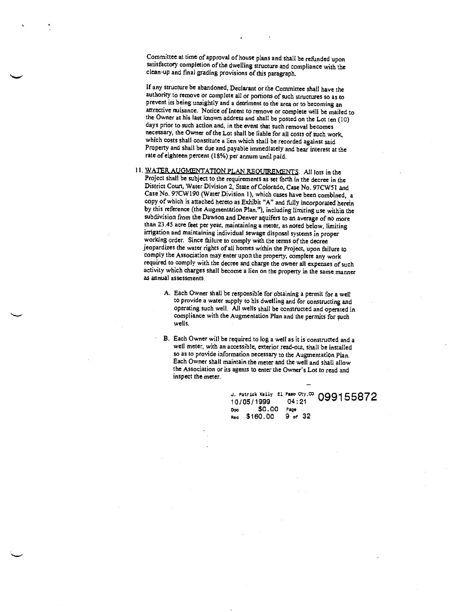Committee at time of approval of house plans and shall be refunded upon satisfactory completion of the dwelling structure and compliance with the clean—up and final grading provisions of this paragraph.

If any structure be abandoned, Declarant or the Committee shall have the authority to remove or complete all or portions of such structures so as to prevent its being unsightly and a detriment to the area or to becoming an attractive nuisance. Notice of Intent to remove or complete will be mailed to the Owner at his last known address and shall be posted on the Lot ten (10) days prior to such action and, in the event that such removal becomes necessary, the Owner of the Lot shall be liable for all costs of such work, which costs shall constitute a lien which shall be recorded against said Property and shall be due and payable immediately and bear interest at the rate of eighteen percent (18%) per annum until paid.

- 11. WATER AUGMENTATION PLAN REOUTREMENTS. All lots in the Project shall be subject to the requirements as set forth in the decree in the District Court, Water Division 2, State of Colorado, Case No. 97CW51 and Case No. 97CW190 (Water Division 1), which cases have been combined, a copy of which is attached hereto as Exhibit "A" and fully incorporated herein by this reference (the Augmentation Plan."), including limiting use within the subdivision from the Dawson and Denver aquifers to an average of no more than 23.45 acre feet per year, maintaining a meter, as noted below, limiting working order. Since failure to comply with the terms of the decree jeopardizes the water rights of all homes within the Project, upon failure to comply the Association may enter upon the property, complete any work required to comply with the decree and charge the owner all expenses of such activity which charges shall become a lien on the property in the same manner as annual assessments.
	- A. Each Owner shail be responsible for obtaining a permit for a well to provide a water supply to his dwelling and for constructing and operating such well. All wells shall be constructed and operated in compliance with the Augmentation Plan and the permits for such wells.
	- B. Each Owner will be required to log a well as it is constructed and a well meter, with an accessible, exterior read-out, shall be installed so as to provide information necessary to the Augmentation Plan. Each Owner shall maintain the meter and the well and shall allow the Association or its agents to enter the Owner's Lot to read and inspect the meter.

J. Patrick Kelly El. Paso Cty,  $\infty$  099155872<br>10/05/1999 04:21<br>Doc \$0.00 Page Doc \$0.00 Page<br>Rec \$160.00 9 of 32

— <u>—</u> — — — — — — — —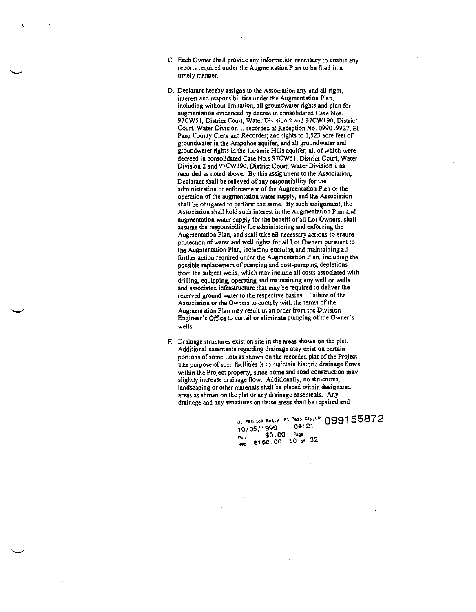- C. Each Owner shall provide any information necessary to enable any reports required under the Augmentation Plan to be filed in a timely manner.
- D. Declarant hereby assigns to the Association any and all right, interest and responsibilities under the Augmentation Plan, including without limitation, all groundwater rights and plan for augmentation evidenced by decree in consolidated Case Nos. 97CW5 I District Court, Water Division 2 and 97CW 190, District Court, Water Division 1, recorded at Reception No, 099019927, El Paso County Clerk and Recorder; and rights to 1,523 acre feet of groundwater in the Arapahoe aquifer, and all groundwater and groundwater rights in the Laramie Hilts aquifer, all of which were decreed in consolidated Case No.s 97CW51, District Court, Water Division 2 and 97CWl90, District Court, Water Division I as recorded as noted above. By this assignment to the Association, Declarant shall be relieved of any responsibility for the administration or enforcement of the Augmentation Plan or the operation of the augmentation water supply, and the Association shall be obligated to perform the same. By such assignment, the Association shall hold such interest in the Augmentation Plan and augmentation water supply for the benefit of all Lot Owners, shall assume the responsibility for administering and enforcing the Augmentation Plan, and shall take all necessary actions to ensure protection of water and well rights for all Lot Owners pursuant to the Augmentation Plan, including pursuing and maintaining all farther action required under the Augmentation Plan, including the possible replacement of pumping and post-pumping depletions from the subject wells, which may include all costs associated with drilling, equipping, operating and maintaining any well or wells and associated infrastructure that may be required to deliver the reserved ground water to the respective basins.. Failure of the Association or the Owners to comply with the terms of the Augmentation Plan may result in an order from the Division Engineer's Office to curtail or eliminate pumping of the Owner's wells.
- E. Drainage structures exist on site in the areas shown on the plat. Additional easements regarding drainage may exist on certain portions of some Lots as shown on the recorded plat of the Project. The purpose of such facilities is to maintain historic drainage flows within the Project property, since home and road construction may slightly increase drainage flow. Additionally, no structures, landscaping or other materials shall be placed within designated areas as shown on the plat or any drainage easements. Any drainage and any structures on those areas shall be repaired and

J. Patrick Kelly El Paso Cty,<sup>CO</sup> 099155872 10/05/1999 04:<br>20.00 so.00 ...<br><sub>Doc</sub> \$160.00 10 of 32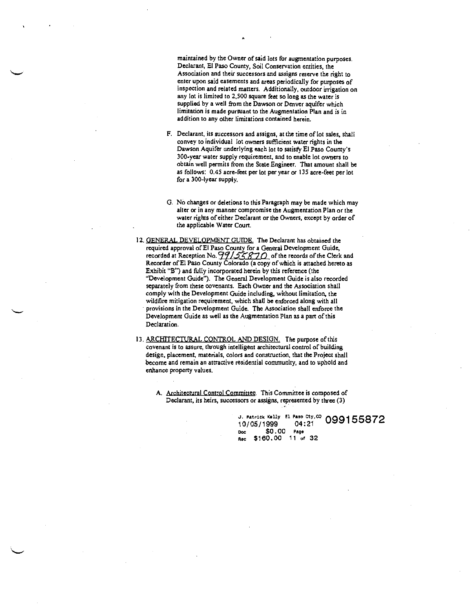maintained by the Owner of said lots for augmentation purposes. Declarant, El Paso County, Soil Conservation entities, the Association and their successors and assigns reserve the right to enter upon said easements and areas periodically for purposes of inspection and related matters. Additionally, outdoor irrigation on any lot is limited to 2,500 square feet so long as the water is supplied by a well from the Dawson or Denver aquifer which limitation is made pursuant to the Augmentation Plan and is in addition to any other imitations contained herein.

- F. Declarant, its successors and assigns, at the time of lot sales, shall convey to individual lot owners sufficient water rights in the Dawson Aquifer underlying each lot to satisfy El Paso County's 300-year water supply requirement, and to enable lot owners to obtain well permits from the State Engineer. That amount shall be as follows: 0.45 acre-feet per lot per year or 135 acre-feet per lot for a 300-lyear supply.
- 0. Na changes or deletions to this Paragraph may be made which may alter or in any manner compromise the Augmentation Plan or the water rights of either Declarant or the Owners, except by order of the applicable Water Court.
- 12. GENERAL DEVELOPMENT GUIDE. The Declarant has obtained the required approval of El Paso County for a General Development Guide, recorded at Reception No.  $\frac{99}{55870}$  of the records of the Clerk and Recorder ofEl Paso County Colorado (a copy of which is attached hereto as Exhibit "B") and fully incorporated herein by this reference (the "Development Guide"). The General Development Guide is also recorded separately from these covenants. Each Owner and the Association shall comply with the Development Guide including, without limitation, the wildfire mitigation requirement, which shall be enforced along with all provisions in the Development Guide. The Association shall enforce the Development Guide as well as the Augmentation Plan as a part of this Declaration.
- 13. ARCHITECTURAL CONTROL AND DESIGN. The purpose of this covenant is to assure, through intelligent architectural control of building design, placement, materials, colors and construction, that the Project shall become and remain an attractive residential community, and to uphold and enhance property values.

A. Architectural Control Committee. This Committee is composed of Declarant, its heirs, successors or assigns, represented by three (3)

> J. Patrick Kelly El Paso Cty, CO  $\bigcap_{i=1}^{\infty}$ 10/05/1999 04:21 Doc \$0.00 Page flea \$160.00 <sup>11</sup> of 32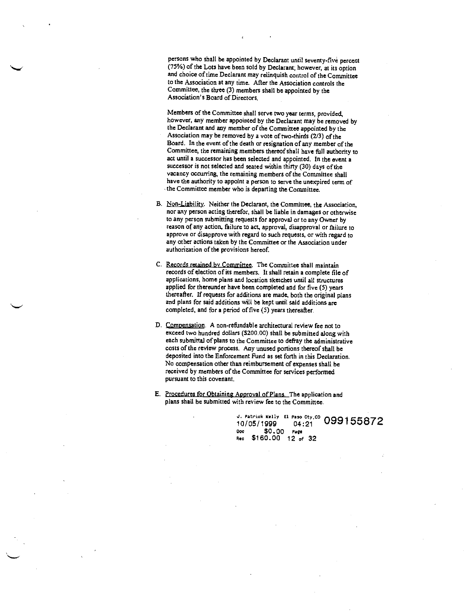persons who shall be appointed by Declarant until seventy-five percent (75%) of the Lots have been sold by Declarant; however, at its option and choice of time Declarant may relinquish control of the Committee to the Association at any time. After the Association controls the Committee, the three (3) members shall be appointed by the Association's Board of Directors.

Members of the Committee shall serve two year terms, provided, however, any member appointed by the Declarant may be removed by the Declarant and any member of the Committee appointed by the Association may be removed by a vote of two-thirds (2/3) of the Board. In the event of the death or resignation of any member of the Committee, the remaining members thereof shall have full authority to act until a successor has been selected and appointed. In the event a successor is not selected and seated within thirty (30) days of the vacancy occurring, the remaining members of the Committee shall have the authority to appoint a person to serve the unexpired term of the Committee member who is departing the Committee.

- B. Non-Liability. Neither the Deciarant, the Committee, the Association, nor any person acting therefor, shalt be liable in damages or otherwise to any person submitting requests for approval or to any Owner by reason of any action, failure to act, approval, disapproval or failure to approve or disapprove with regard to such requests, or with regard to any other actions taken by the Committee or the Association under authorization of the provisions hereof.
- C. Records retained by Committee. The Committee shalt maintain records of election of its members. It shall retain a complete file of applications, home plans and location sketches until all structures applied for thereunder have been completed and for five (5) years thereafter. If requests for additions are made, both the original plans and plans for said additions wilt be kept until said additions are completed, and for a period of five (5) years thereafter.
- D. Comnensation. A non-reftindable architectural review fee not to exceed two hundred dollars (\$200.00) shalt be submitted along with each submittal of plans to the Committee to defray the administrative costs of the review process. Any unused portions thereof shall be deposited into the Enforcement Fund as set forth in this Declaration. No compensation other than reimbursement of expenses shall be received by members of the Committee for services performed pursuant to this covenant.
- E. Procedures for Obtaining Aporoval of Plans. The application and plans shall be submitted with review fee to the Committee,

J. Patrick Kelly El Paso Cty, CO 099155872 10/05/1999 04:21 Doc \$0.00 Page<br>Rec \$160.00 12 of 32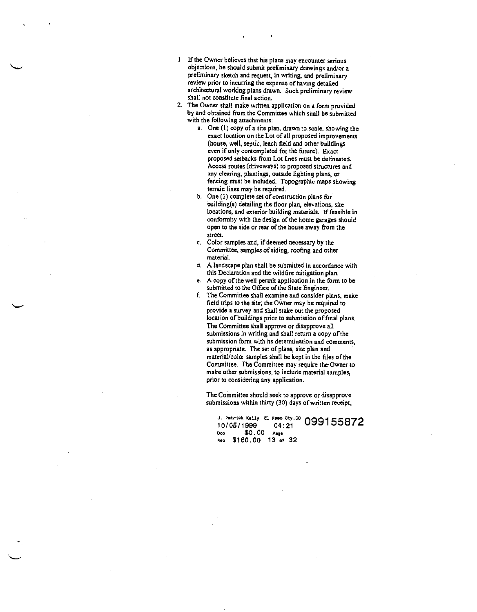- 1. If the Owner believes that his plans may encounter serious objections, he should submit preliminary drawings and/or a preliminary sketch and request, in writing, and preliminary review prior to incurring the expense of having detailed architectural working plans drawn. Such preliminary review shall not constitute final action,
- 2. The Owner shall make written application on a form provided by and obtained from the Committee which shall be submitted with the following attachments:
	- a. One (I) copy of a site plan, drawn to scale, showing the exact location on the Lot of all proposed improvements (house, well, septic, leach field and other buildings even if only contemplated for the future). Exact proposed setbacks front Lot lines must be delineated. Access routes (driveways) to proposed structures and any clearing, plantings, outside lighting plans, or fencing must be included. Topographic maps showing terrain lines may be required.
	- b. One (I) complete set of construction plans for building(s) detailing the floor plan, elevations, site locations, and exterior building materials, If feasible in conformity with the design of the home garages should open to the side or rear of the house away from the street.
	- c. Color samples and, if deemed necessary by the Committee, samples of siding, roofing and other material.
	- d. A landscape plan shall be submitted in accordance with this Declaration and the wildfire mitigation plan.
	- e. A copy of the well permit application in the form to be
	- submitted to the Office of the State Engineer.<br>I The Committee shall examine and consider plans, make field trips to the site; the Ovner may be required to provide a survey and shall stake out the proposed location of buildings prior to submission of final plans. The Committee shall approve or disapprove all submissions in writing and shall return a copy of the submission form with its determination and comments, as appropriate. The set of plans, site plan and material/color samples shall be kept in the files of the Committee. The Committee may require the Owner to make other submissions, to include material samples, prior to considering any application.

The Committee should seek to approve or disapprove submissions within thirty (30) days of written receipt,

i. Patrick Kelly El Paso Cty.CO  $\bigcap_{i=1}^{\infty}$ 10/05/1999 04:21 Doo \$0.00 Page tea \$160.00 13 of 32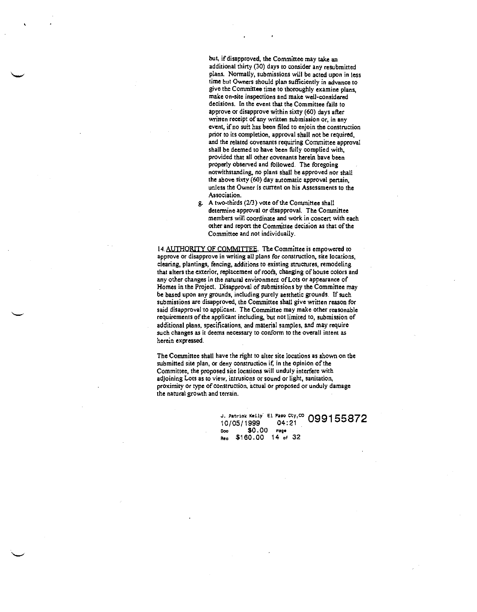but, if disapproved, the Committee may take an additional thirty (30) days to consider any resubmitted plans. Normally, submissions will be acted upon in less time but Owners should plan sufficiently in advance to give the Committee time to thoroughly examine plans, make on-site inspections and make well-considered decisions. In the event that the Committee fails to approve or disapprove within sixty (60) days after written receipt of any written submission or, in any event, if no suit has been filed to enjoin the construction prior 10 its completion, approval shall not be required, and the related covenants requiring Committee approval shall be deemed to have been filly complied with, provided that all other covenants herein have been properly observed and followed. The foregoing notwithstanding, no plans shall be approved nor shall the above sixty (60) day automatic approval pertain, unless the Owner is current on his Assessments to the Association.

g. A two-thirds (213) vote of the Committee shall determine approval or disapproval. The Committee members will coordinate and work in concert with each other and report the Committee decision as that of the Committee and not individually.

14. AUTHORITY OF COMMITTEE. The Committee is empowered to approve or disapprove in writing all plans for construction, site locations, clearing, plantings, fencing, additions to existing structures, remodeling that alters the exterior, replacement of roofs, changing of house colors and any other changes in the natural environment of Lots or appearance of Homes in the Project. Disapproval of submissions by the Committee may be based upon any grounds, including purely aesthetic grounds. If such submissions are disapproved, the Committee shall give written reason for said disapproval to applicant. The Committee may make other reasonable requirements of the applicant including, but not limited to, submission of additional plans, specifications, and material samples, and may require such changes as it deems necessary to conform to the overall intent as herein expressed.

The Committee shall have the tight to alter site locations as shown on the submitted site plan, or deny construction if, in the opinion of the Committee, the proposed site locations will unduly interfere with adjoining Lots as to view, intrusions or sound or light, sanitation, proximity or type of construction, actual or proposed or unduly damage the natural growth and terrain.

> **Patrick Kelly** El Paso Cty,<sup>co</sup> 0001 10/05/1999 04:21 Coo \$0.00 Page Rec \$160.00 14 of 32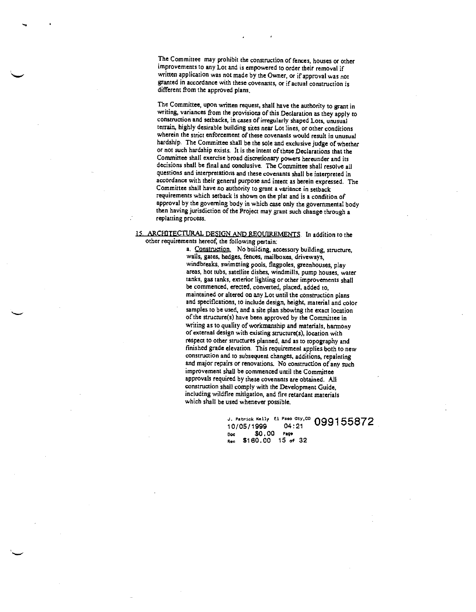The Committee may prohibit the construction of fences, houses or other improvements to any Lot and is empowered to order their removal if written application was not made by the Owner, or if approval was not granted in accordance with these covenants, or if actual construction is different from the approved plans.

The Committee, upon written request, shall have the authority to grant in writing, variances from the provisions of this Declaration as they apply to construction and setbacks, in cases of irregularly shaped Lots, unusual terrain, highly desirable building sites near Lot lines, or other conditions wherein the strict enforcement of these covenants would result in unusual hardship. The Committee shall be the sole and exclusive judge of whether or not such hardship exists. Jt is the intent of these Declarations that the Committee shall exercise broad discretionary powers hereunder and its decisions shall be final and conclusive. The Committee shall resolve all questions and interpretations and these covenants shall be interpreted in accordance with their general purpose and intent as herein expressed. The Committee shall have no authority to grant a variance in setback requirements which setback is shown on the plat and is a condition of approval by the governing body in which case only the governmental body then having jurisdiction of the Project may grant such change through a replatting process.

# 15 ARCHITECTURAL DESIGN AND REQUIREMENTS. In addition to the other requirements hereof, the following pertain:

a, Construction. No building, accessory building, structure, wails, gates, hedges, fences, mailboxes, driveways, windbreaks, swimming pools, flagpoles, greenhouses, play areas, hot tubs, satellite dishes, windmills, pump houses, water tanks, gas tanks, exterior lighting or other improvements shall be commenced, erected, converted, placed, added to, maintained or altered on any Lot until the construction plans and specifications, to include design, height, material and color samples to be used, and a site plan showing the exact location of the structure(s) have been approved by the Committee in writing as to quality of workmanship and materials, harmony of external design with existing structure(s), location with respect to other structures planned, and as to topography and finished grade elevation. This requirement applies both to new construction and to subsequent changes, additions, repainting and major repairs or renovations. No construction of any such improvement shall be commenced until the Committee approvals required by these covenants are obtained. All construction shall comply with the Development Guide, including wildfire mitigation, and fire retardant materials which shall be used whenever possible.

> J. Patrick Kelly El Paso Cty,<sup>00</sup> 099155872<br>10/05/1999 04:21 Doc \$0.00 Page Rec \$160.00 15 of 32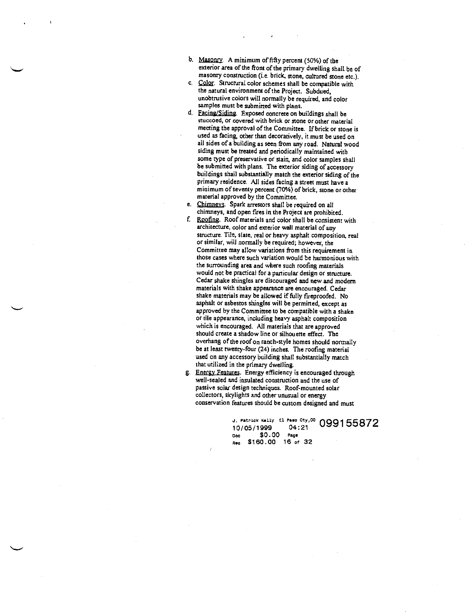- b. Masonry, A minimum of fifty percent (50%) of the exterior area of the front of the primary dwelling shall be of masonry constmction (i.e. brick, stone, cultured stone etc.).
- c. Color. Structural color schemes shall be compatible with the natural environment of the Project. Subdued, unobtrusive colors will normally be required, and color samples must be submitted with plans.
- d. Facina/Siding. Exposed concrete on buildings shall be stuccoed, or covered with brick or stone or ocher material meeting the approval of the Committee. If brick or stone is used as facing, other than decoratively, it must be used on all sides of a building as seen from any road. Natural wood siding must be treated and periodically maintained with some type of preservative or stain, and color samples shall be submitted with plans. The exterior siding of accessory buildings shall substantially match the exterior siding of the primary residence. All sides facing a street must have a minimum of seventy percent (70%) of brick, stone or other material approved by the Committee.
- e. Chimneys. Spark arrestors shalt be required on all chimneys, and open fires in the Project are prohibited.
- f Roofing. Roof materials and color shall be consistent with architecture, color and exterior wall material of any structure. Tile, slate, real or heavy asphalt composition, real orsimilar, will normally be required; however, the Committee may allow variations from this requirement in those cases where such variation would be harmonious with the surrounding area and where such roofing materials would not be practical for a particular design or structure. Cedar shake shingles are discouraged and new and modern materials with shake appearance are encouraged. Cedar shake materials may be allowed if fully fireproofed. No asphalt or asbestos shingles will be permitted, except as approved by the Committee to be compatible with a shake or tile appearance, including heavy asphalt composition which is encouraged. All materials that are approved should create a shadow tine or silhouette effect. The overhang of the roof on ranch-style homes should normally be at least twenty-four (24) inches. The roofing material used on any accessory building shalt substantially match that utilized in the primary dwelling.
- g. Energy Features. Energy efficiency is encouraged through well-sealed and insulated construction and the use of passive solar design techniques. Roof-mounted solar collectors, skylights and other unusual or energy conservation features should be custom designed and must

J. Patrick Kelly El Paso Cty, CO 099155872 Ooc \$0.00 Page Rec \$160.00 16 of 32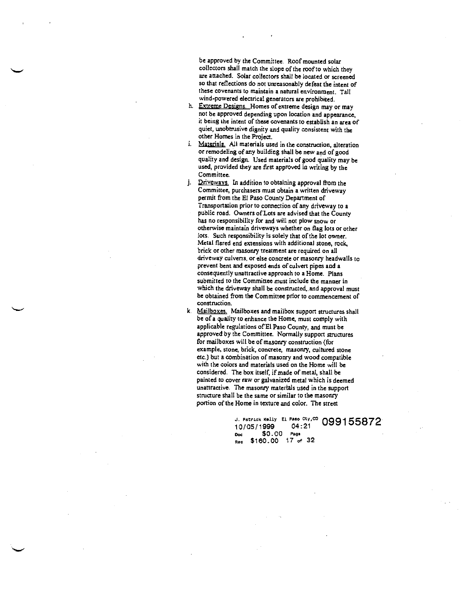be approved by the Committee. Roof mounted solar collectors shall match the slope of the roof to which they are attached. Solar collectors shall be located or screened so that reflections do not unreasonably defeat the intent of these covenants to maintain a natural environment. Tall wind-powered electrical generators are prohibited.

- h. Extreme Designs. Homes of extreme design may or may not be approved depending upon location and appearance, it being the intent of these covenants to establish an area of quiet, unobtrusive dignity and quality consistent with the other Homes in the Project.
- i. Materials. All materials used in the construction, alteration or remodeling of any building shall be new and of good quality and design. Used materials of good quality may be used, provided they are first approved in writing by the Committee.
- j. Driveways. In addition to obtaining approval from the Committee, purchasers must obtain a written driveway permit from the El Paso County Department of Transportation prior to connection of any driveway to a public road. Owners of Lots are advised that the County has no responsibility for and will not plow snow or otherwise maintain driveways whether on flag lots or other lots. Such responsibility is solely that of the lot owner. Metal flared end extensions with additional stone, rock, brick or other masonry treatment are required on all driveway culverts, or else concrete or masonry headwalls to prevent bent and exposed ends of culvert pipes and a consequently unattractive approach to a Home. Plans submitted to the Committee must include the manner in which the driveway shall be constructed, and approval must be obtained from the Committee prior to commencement of construction.
- k. Mailboxes. Mailboxes and mailbox support structures shall be of a quality to enhance the Home, must comply with applicable regulations of El Paso County, and must be approved by the Committee. Normally support structures for mailboxes will be of masonry construction (for example, stone, brick, concrete, masonry, cultured stone etc.) but a combination of masonry and wood compatible with the colors and materials used on the Home will be considered, The box itself, if made of metal, shall be painted to cover raw or galvanized metal which is deemed unattractive. The masonry materials used in the support structure shall be the same or similar to the masonry portion of the Home in texture and color. The street

J. Patrick Kelly El. Paso Cty,<sup>co</sup> 099155872 Doc \$0.00 Page Rec \$160.00 17 of 32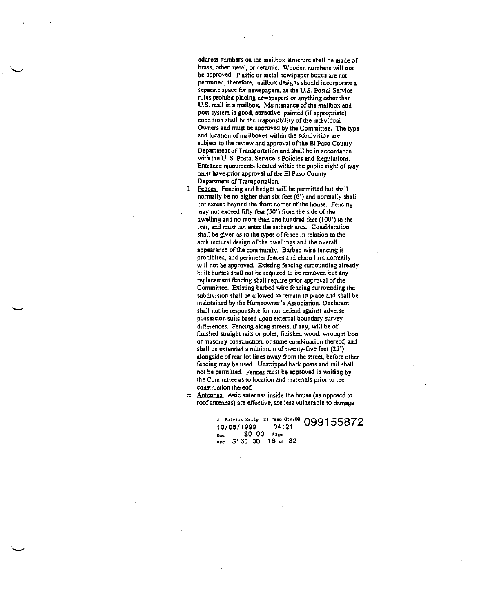address numbers on the mailbox structure shall be made of brass, other metal, or ceramic. Wooden numbers will not be approved. Plastic or metal newspaper boxes are not permitted; therefore, mailbox designs should incorporate a separate space for newspapers, as the U.S. Postal Service rules prohibit placing newspapers or anything other than U.S. mail in a mailbox, Maintenance of the mailbox and post system in good, attractive, painted (if appropriate) condition shall be the responsibility of the individual Owners and must be approved by the Committee. The type and location of mailboxes within the subdivision are subject to the review and approval of the El Paso County Department of Transportation and shall be in accordance with the U. S. Postal Service's Policies and Regulations. Entrance monuments located within the public right of way must have prior approval of the El Paso County Department of Transportation.

1. Fences. Fencing and hedges will be permitted but shall normally be no higher than six feet (6') and normally shall not extend beyond the front corner of the house. Fencing may not exceed fifty feet (50') from the side of the dwelling and no more than one hundred feet (100') to the rear, and must not enter the setback area. Consideration shall be given as to the types of fence in relation to the architectural design of the dwellings and the overall appearance of the community. Bathed wire fencing is prohibited, and perimeter fences and chain link normally will not be approved. Existing fencing surrounding already built homes shall not be required to be removed but any replacement fencing shall require prior approval of the Committee, Existing barbed wire fencing surrounding the subdivision shall be allowed to remain in place and shall be maintained by the Homeowner's Association. Declarant shall not be responsible for nor defend against adverse possession suits based upon external boundary survey differences. Fencing along streets, if any, will be of finished straight rails or poles, finished wood, wrought Iron or masonry construction, or some combination thereof, and shall be extended a minimum of twenty-five feet (25') alongside of rear lot lines away from the street, before other fencing may be used. Unstripped bark posts and rail shall not be permitted. Fences must be approved in writing by the Committee as to location and materials prior to the construction thereof.

m. Antennas. Attic antennas inside the house (as opposed to roof antennas) are effective, are less vulnerable to damage

> J. Patrick Kelly El Paso Cty,<sup>02</sup> 099155872<br>10/05/1999 04:21<br><sub>Doc</sub> \$0.00 Page Ooc \$0.00 Page<br>Rec \$160.00 18 of 32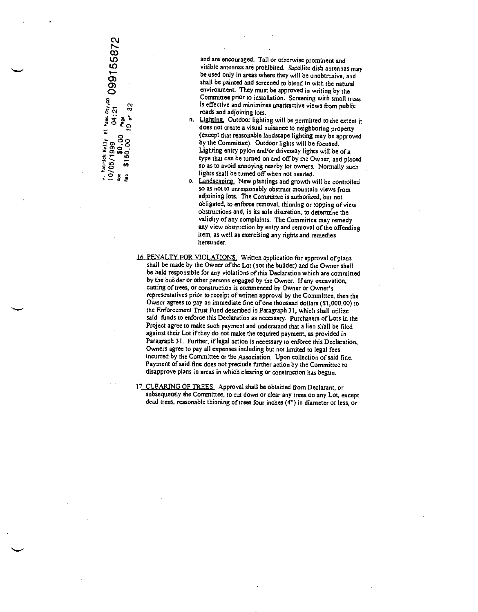$\mathbb{R}$  and  $\mathbb{R}$ co

and are encouraged. Tall or otherwise prominent and visible antennas are prohibited. Satellite dish antennas may be used only in areas where they will be unobtrusive, and shall be painted and screened to blend in with the natural environment. They must be approved in writing by the Committee prior to installation. Screening with small trees is effective and minimizes unattractive views from public<br>roads and adjoining lots.

n. Lighting. Outdoor lighting will be permitted to the extent it does not create a visual nuisance to neighboring property (except that reasonable landscape lighting may be approved by the Committee). Outdoor lights will be focused. Lighting entry pylon and/or driveway lights will be of a type that can be turned on and off by the Owner, and placed so as to avoid annoying nearby lot owners. Normally such lights shall be turned off when not needed.<br>8 O. Landscaping. New plantings and growth will be controlled

- so as not to unreasonably obstruct mountain views from adjoining lots. The Committee is authorized, but not obligated, to enforce removal, thinning or topping of view obstructions and, in its sole discretion, to determine the validity of any complaints. The Committee may remedy any view obstruction by entry and removal of the offending item, as well as exercising any rights and remedies hereunder.
- 16. PENALTY FOR VIOLATIONS. Written application for approval of plans shall be made by the Owner of the Lot (not the builder) and the Owner shall be held responsible for any violations of this Declaration which are committed by the builder or other persons engaged by the Owner. If any excavation, cutting of trees, or construction is commenced by Owner or Owner's representatives prior to receipt of written approval by the Committee, then the Owner agrees to pay an immediate fine of one thousand dollars (\$1,000.00) to the Enforcement Trust Fund described in Paragraph 31, which shall utilize said funds to enforce this Declaration as necessary. Purchasers of Lots in the Project agree to make such payment and understand that a lien shall be filed against their Lot if they do not make the required payment, as provided in Paragraph 31. Further, if legal action is necessary to enforce this Declaration, Owners agree to pay all expenses including but not limited to legal fees incurred by the Committee or the Association. Upon collection of said fine. Payment of said fine does not preclude further action by the Committee to disapprove plans in areas in which clearing or construction has begun.
- 17 CLEARING OF TREES. Approval shall be obtained from Declarant, or subsequently the Committee, to cut down or clear any trees on any Lot, except dead trees, reasonable thinning of trees four inches (4") in diameter or less, or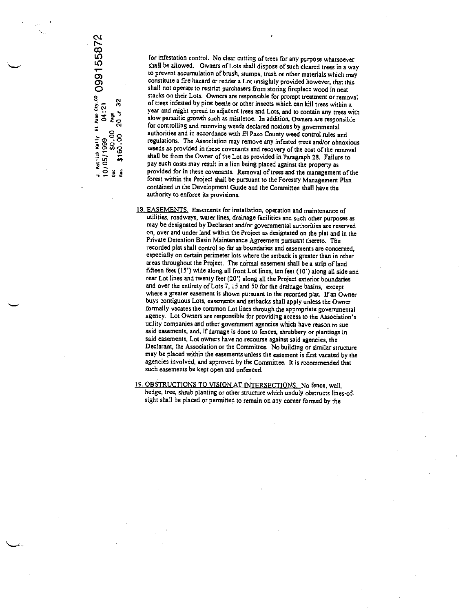J. Patrick Kally El Paso Cty.<sup>03</sup> 099155872<br>10/05/1999 04:21<br><sub>Deo</sub> \$160.00 20 of 32<br>New \$160.00 20 of 32

for infestation control. No clear cutting of trees for any purpose whatsoever shall be allowed. Owners of Lots shall dispose of such cleared trees in a way to prevent accumulation of brush, stumps, trash or other materials which may constitute <sup>a</sup> fire hazard or render a Lot unsightly provided however, that this shall not operate to restrict purchasers from storing fireplace wood in neat stacks on their Lots. Owners are responsible for prompt treatment or removal of trees infested by pine beetle or other insects which can kill trees within a year and might spread to adjacent trees and Lots, and to contain any trees with slow parasitic growth such as mistletoe. In addition, Owners are responsible for controlling and removing weeds declared noxious by governmental authorities and in accordance with El Paso County weed control rules and regulations. The Association may remove any infested trees and/or obnoxious weeds as provided in these covenants and recovery of the cost of the removal  $\frac{1}{42}$  shall be from the Owner of the Lot as provided in Paragraph 28. Failure to any such costs may recult in a lier being algoed emine the next ratio pay such costs may result in a lien being placed against the property as provided for in these covenants. Removal of trees and the management of the forest within the Project shall be pursuant to the Forestry Management Plan contained in the Development Guide and the Committee shall have the authority to enforce its provisions.

IS. EASEMENTS. Easements for installation, operation and maintenance of utilities, roadways, water lines, drainage facilities and such other purposes as may be designated by Declarant and/or governmental authorities are reserved on, over and under land within the Project as designated on the plat and in the Private Detention Basin Maintenance Agreement pursuant thereto. The recorded plat shall control so far as boundaries and easements are concerned, especially on certain perimeter lots where the setback is greater than in other areas throughout the Project. The normal easement shall be a strip of land fifteen feet (15') wide along all front Lot lines, ten feet (10') along all side and rear Lot lines and twenty feet (20') along all the Project exterior boundaries and over the entirety of Lots 7, 15 and 50 for the drainage basins, except where a greater easement is shown pursuant to the recorded plat. If an Owner buys contiguous Lots, easements and setbacks shall apply unless the Owner formally vacates the common Lot lines through the appropriate governmental agency. Lot Owners are responsible for providing access to the Association's utility companies and other government agencies which have reason to sue said easements, and, if damage is done to fences, shrubbery or plantings in said easements, Lot owners have no recourse against said agencies, the Declarant, the Association or the Committee, No building or similar structure may be placed within the easements unless the easement is first vacated by the agencies involved, and approved by the Committee. It is recommended that such easements be kept open and unfenced.

19. OBSTRUCTIONS TO VISION AT INTERSECTIONS. No fence, wall, hedge, tree, shrub planting or other structure which unduly obstructs lines-ofsight shall be placed or permitted to remain on any corner formed by the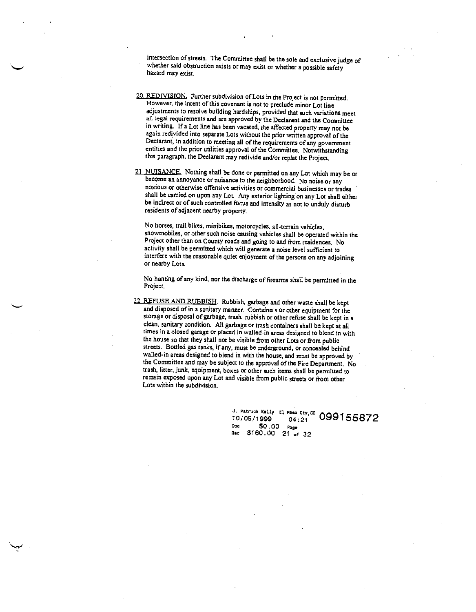intersection of streets. The Committee shall be the sole and exclusive judge of whether said obstruction exists or may exist or whether a possible safety hazard may exist.

- 20. REDIVISION. Further subdivision of Lots in the Project is not permitted. However, the intent of this covenant is not to preclude minor Lot line adjustments to resolve building hardships, provided that such variations meet all legal requirements and are approved by the Declarant and the Committee in writing. If a Lot line has been vacated, the affected property may not be again redivided into separate Lots without the prior written approval of the Declarant, in addition to meeting all of the requirements of any government entities and the prior utilities approval of the Committee. Notwithstanding this paragraph, the Declarant may redivide and/or replat the Project.
- 21. NUISANCE. Nothing shall be done or permitted on any Lot which may be or become an annoyance or nuisance to the neighborhood. No noise or any noxious or otherwise offensive activities or commercial businesses or trades shall be carried on upon any Lot. Any exterior lighting on any Lot shall either be indirect or of such controlled focus and intensity as not to unduly disturb residents of adjacent nearby property.

No horses, trail bikes, minibikes, motorcycles, all-terrain vehicles, snowmobiles, or other such noise causing vehicles shall be operated within the Project other than on County roads and going to and from residences. No activity shall be permitted which will generate a noise level sufficient to interfere with the reasonable quiet enjoyment of the persons on any adjoining or nearby Lots.

No hunting of any kind, nor the discharge of firearms shall be permitted in the Project.

22. REFUSE AND RUBBISH. Rubbish, garbage and other waste shall be kept and disposed of in a sanitary manner. Containers or other equipment for the storage or disposal of garbage, trash, rubbish or other refuse shall be kept in a clean, sanitary condition. All garbage or trash containers shall be kept at all times in a closed garage or placed in walled-in areas designed to blend in with the house so that they shall not be visible from other Lots or from public streets. Bottled gas tanks, if any, must be underground, or concealed behind walled-in areas designed to blend in with the house, and must be approved by the Committee and may be subject to the approval of the Fire Department. No trash, litter, junk, equipment, boxes or other such items shall be permitted to remain exposed upon any Lot and visible from public streets or from other Lots within the subdivision.

> 1. Patrick Kelly El Paso Cty,<sup>co</sup> 099155872<br>10/05/1999 04:21 099155872<br><sup>Doc</sup> \$0.00 Page Doc \$0.00<br>Rec \$160.00 \$160.00 21 of 32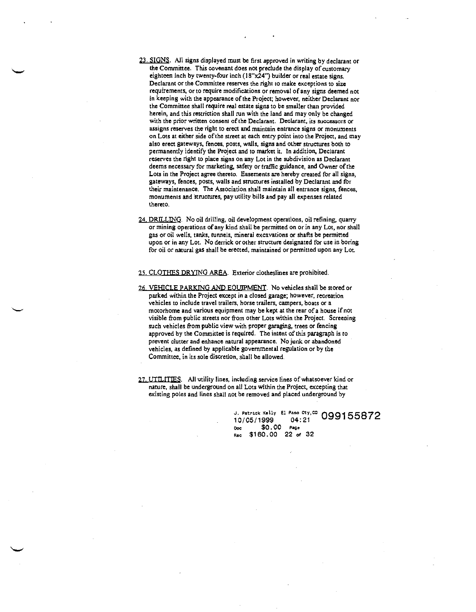23. SIGNS. All signs displayed must be first approved in writing by declarant or the Committee. This covenant does not preclude the display of customary eighteen inch by twenty-four inch (18"x24") builder or real estate signs. Declarant or the Committee reserves the right to make exceptions to size requirements, or to require modifications or removal of any signs deemed not in keeping with the appearance of the Project; however, neither Declarant nor the Committee shall require real estate signs to be smaller than provided herein, and this restriction shall run with the land and may only be changed with the prior written consent of the Declarant. Declarant, its successors or assigns reserves the right to erect and maintain entrance signs or monuments on Lots at either side of the street at each entry point into the Project, and may also erect gateways, fences, posts, walls, signs and other structures both to permanently identify the Project and to market it. In addition, Declarant reserves the right to place signs on any Lot in the subdivision as Declarant deems necessary for marketing, safety or traffic guidance, and Owner of the Lots in the Project agree thereto. Easements are hereby created for all signs, gateways, fences, posts, walls and structures installed by Declarant and for their maintenance. The Association shall maintain all entrance signs, fences, monuments and structures, pay utility bills and pay all expenses related thereto.

24. DRILLING. No oil drilling, oil development operations, oil refining, quarry or mining operations of any kind shall be permitted on or in any Lot, nor shall gas or oil wells, tanks, tunnels, mineral excavations or shafts be permitted upon or in any Lot. No derrick or other structure designated for use in boring for oil or natural gas shall be erected, maintained or permitted upon any Lot.

25. CLOTHES DRYINg AREA. Exterior clotheslines are prohibited.

- 26. VEHICLE PARKING AND EqUIPMENT. No vehicles shall be stored or parked within the Project except in a closed garage; however, recreation vehicles to include travel trailers, horse trailers, campers, boats or a motorhome and various equipment may be kept at the rear of a house if not visible from public streets nor from other Lots within the Project. Screening such vehicles from public view with proper garaging, trees or fencing approved by the Committee is required. The intent of this paragraph is to prevent clutter and enhance natural appearance. No junk or abandoned vehicles, as defined by applicable governmental regulation or by the Committee, in its sole discretion, shall be allowed.
- 27. UTILITIES. All utility lines, including service lines of whatsoever kind or nature, shall be underground on all Lots within the Project, excepting that existing poles and lines shall not be removed and placed underground by

J. Patrick Kelly El Paso Cty,<sup>co</sup> 099155872 10/05/1999 04:21 Doc \$0.00 Page Rec \$160.00 22 of 32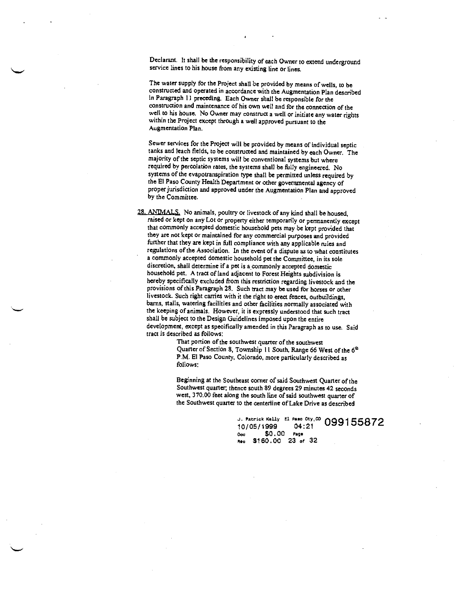Declarant. It shall be the responsibility of each Owner to extend underground service lines to his house from any existing line or lines.

The water supply for the Project shall be provided by means of wells, to be constructed and operated in accordance with the Augmentation Plan described in Paragraph II preceding. Each Owner shall be responsible for the construction and maintenance of his own well and for the connection of the well to his house. No Owner may construct a well or initiate any water rights within the Project except through a well approved pursuant to the Augmentation Plan.

Sewer services for the Project will be provided by means of individual septic tanks and leach fields, to be constructed and maintained by each Owner. The majority of the septic systems will be conventional systems but where required by percolation rates, the systems shall be fully engineered. No systems of the evapotranspiration type shall be permitted unless required by the El Paso County Health Department or other governmental agency of proper jurisdiction and approved under the Augmentation Plan and approved by the Committee.

28. ANIMALS. No animals, poultry or livestock of any kind shall be housed, raised or kept on any Lot or property either temporarily or permanently except that commonly accepted domestic household pets may be kept provided that they are not kept or maintained for any commercial purposes and provided further that they are kept in full compliance with any applicable rules and regulations of the Association. In the event of a dispute as to what constitutes a comnionly accepted domestic household pet the Conunittee, in its sole discretion, shall determine if a pet is a commonly accepted domestic household pet. A tract of land adjacent to Forest Heights subdivision is hereby specifically excluded from this restriction regarding livestock and the provisions of this Paragraph 28. Such tract may be used for horses or other livestock. Such right carries with it the right to erect fences, outbuildings, barns, stalls, watering facilities and other facilities normally associated with the keeping of animals. However, it is expressly understood that such tract shall be subject to the Design Guidelines imposed upon the entire development, except as specifically amended in this Paragraph as to use. Said tract is described as follows:

That portion of the southwest quarter of the southwest Quarter of Section 8, Township 11 South, Range 66 West of the 6<sup>th</sup> PM. El Paso County, Colorado, more particularly described as follows:

Beginning at the Southeast corner of said Southwest Quarter of the Southwest quarter; thence south 89 degrees 29 minutes 42 seconds west, 370.00 feet along the south line of said southwest quarter of the Southwest quarter to the centerline of Lake Drive as described

> J. Patrick Kelly El Paso Cty,<sup>co</sup>  $099155872$ 10/0511999 04:21 Ooc \$0.00 Page .c \$160.00 23 of 32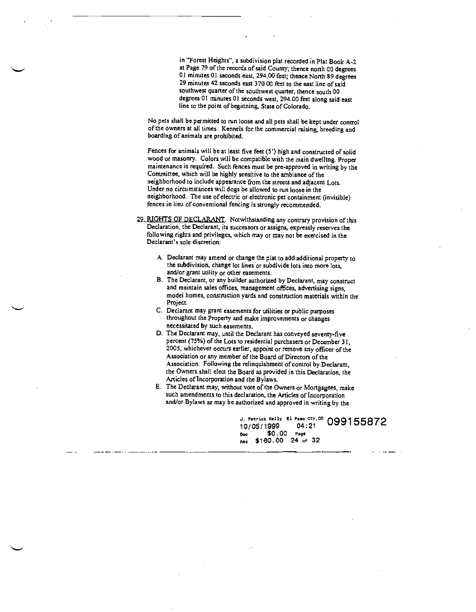in "Forest Heights", a subdivision plat recorded in Plat Book A-2 at Page 79 of the records of said County; thence north 00 degrees UI minutes 01 seconds east, 294.00 feet; thence North 89 degrees 29 minutes 42 seconds east 370.00 feet to the east line of said southwest quarter of the southwest quarter, thence south 00 degrees 01 minutes 01 seconds west, 294.00 feet along said east line to the point of beginning, State of Colorado.

No pets shall be permitted to nm loose and all pets shall be kept under control of the owners at aJI times. Kennels for the commercial raising, breeding and boarding of animals are prohibited.

Fences for animals will be at least five feet (5') high and constructed of solid wood or masonry. Colors will be compatible with the main dwelling. Proper maintenance is required. Such fences must be pre-approved in writing by the Committee, which will be highly sensitive to the ambiance of the neighborhood to include appearance from the streets and adjacent Lots. Under no circumstances will dogs be allowed to run loose in the neighborhood. The use of electric or electronic pet containment (invisible) fences in lieu of conventional fencing is strongly recommended.

29. RIGHTS OF DECLARANT. Notwithstanding any contrary provision of this Declaration, the Declarant, its successors or assigns, expressly reserves the following rights and privileges, which mayor may not be exercised in the Declarant's sole discretion:

- A. Declarant may amend or change the plat to add additional property to the subdivision, change lot lines or subdivide lots into more lots, and/or grant utility or other easements.
- B. The Declarant, or any builder authorized by Declarant, may construct and maintain sales offices, management offices, advertising signs, model homes, constmction yards and construction materials within the Project.
- C. Declarant may grant easements for utilities or public purposes throughout the Property and make improvements or changes necessitated by such easements.
- D. The Declarant may, until the Declarant has conveyed seventy-five percent (75%) of the Lots to residential purchasers or December 31, 2005, whichever occurs earlier, appoint or remove any officer of the Association or any member of the Board of Directors of the Association. Following the relinquishment of control by Declarant, the Owners shall elect the Board as provided in this Declaration, the Articles of Incorporation and the Bylaws.
- E. The Declarant may, without vote of the Owners or Mortgagees, make such amendments to this declaration, the Articles of Incorporation and/or Bylaws as may be authorized and approved in writing by the

J. Patrick Kelly El Paso Cty, <sup>60</sup> 099155872<br>10/05/1999 04:21<br>Doc \$0.00 Page Dcc \$0.00 Pegs n. \$160.00 24 of <sup>32</sup>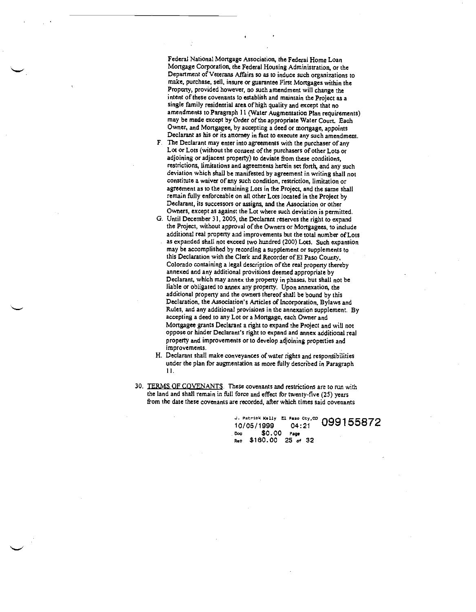Federal National Mortgage Association, the Federal Home Loan Mortgage Corporation, the Federal Housing Administration, or the Department of Veterans Affairs so as to induce such organizations to make, purchase, sell, insure or guarantee First Mortgages within the Property, provided however, no such amendment will change the intent of these covenants to establish and maintain the Project as a single family residential area of high quality and except that no amendments to Paragraph 11 (Water Augmentation Plan requirements) may be made except by Order of the appropriate Water Court. Each Owner, and Mortgagee, by accepting a deed or mortgage, appoints Declarant as his or its attorney in fact to execute any such amendment.

- F. The Declarant may enter into agreements with the purchaser of any Lot or Lots (without the consent of the purchasers of other Lots or adjoining or adjacent property) to deviate from these conditions, restrictions, limitations and agreements herein set forth, and any such deviation which shall be manifested by agreement in writing shall not constitute a waiver of any such condition, restriction, limitation or agreement as to the remaining Lots in the Project, and the same shall remain filly enforceable on all other Lots located in the Project by Declarant, its successors or assigns, and the Association or other Owners, except as against the Lot where such deviation is permitted.
- 0. Until December 31, 2005, the Declarant reserves the right to expand the Project, without approval of the Owners or Mortgagees, to include additional real property and improvements but the total number of Lots as expanded shall not exceed two hundred (200) Lots. Such expansion may be accomplished by recording a supplement or supplements to this Declaration with the Clerk and Recorder of El Paso County, Colorado containing a legal description of the real property thereby annexed and any additional provisions deemed appropriate by Declarant, which may annex the property in phases, but shall not be liable or obligated to annex any property. Upon annexation, the additional property and the owners thereof shall be bound by this Declaration, the Association's Articles of Incorporation, Bylaws and Rules, and any additional provisions in the annexation supplement. By accepting a deed to any Lot or a Mortgage, each Owner and Mortgagee grants Declarant a right to expand the Project and will not oppose or hinder Declarant's right to expand and annex additional real property and improvements or to develop adjoining properties and improvements.
- H. Declarant shall make conveyances of water rights and responsibilities under the plan for augmentation as more filly described in Paragraph II.
- 30. TERMS OF COVENANTS. These covenants and restrictions are to run with the land and shall remain in fill force and effect for twenty-five (25) years from the date these covenants are recorded, after which times said covenants

J. Patrick Kelly El Paso Cty, CO  $099155872$ 10/05/1999 04:21 Doc \$0.00 Page  $$160.00$  25 or 32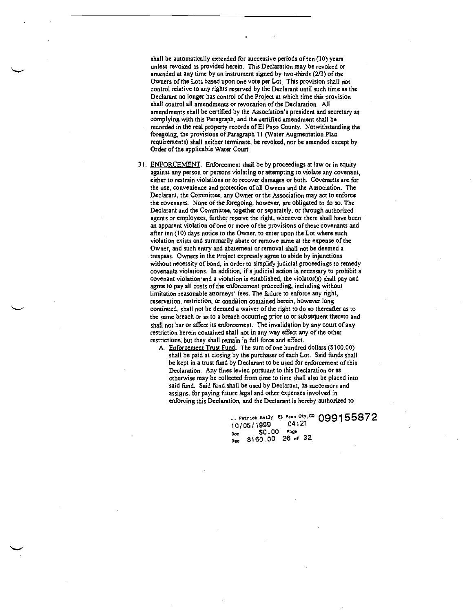shall be automatically extended for successive periods often (10) years unless revoked as provided herein. This Declaration may be revoked or amended at any time by an instrument signed by two-thirds (2/3) of the Owners of the Lots based upon one vote per Lot. This provision shall not control relative to any rights reserved by the Declarant until such time as the Declarant no longer has control of the Project at which time this provision shalt control all amendments or revocation of the Declaration. MI amendments shall be certified by the Association's president and secretary as complying with this Paragraph, and the certified amendment shall be recorded in the real property records of El Paso County. Notwithstanding the foregoing, the provisions of Paragraph II (Water Augmentation Plan requirements) shall neither terminate, be revoked, nor be amended except by Order of the applicable Water Court.

31. ENFORCEMENT. Enforcement shall be by proceedings at law or in equity against any person or persons violating or attempting to violate any covenant, either to restrain violations or to recover damages or both. Covenants are for the use, convenience and protection of all Owners and the Association. The Declarant, the Committee, any Owner or the Association may act to enforce the covenants, None of the foregoing, however, are obligated to do so. The Declarant and the Committee, together or separately, or through authorized agents or employees, further reserve the right, whenever there shall have been an apparent violation of one or more of the provisions of these covenants and after ten (10) days notice to the Owner, to enter upon the Lot where such violation exists and summarily abate or remove same at the expense of the Owner, and such entry and abatement or removal shall not be deemed a trespass. Owners in the Project expressly agree to abide by injunctions without necessity of bond, in order to simplify judicial proceedings to remedy covenants violations. In addition, if a judicial action is necessary to prohibit a covenant violation and a violation is established, the violator(s) shall pay and agree to pay all costs of the enforcement proceeding, including without limitation reasonable attorneys' fees. The failure to enforce any right, reservation, restriction, or condition contained herein, however long continued, shall not be deemed a waiver of the right to do so thereafter as to the same breach or as to a breach occurring prior to or subsequent thereto and shall not bar or affect its enforcement, The invalidation by any court of any restriction herein contained shall not in any way effect any of the other restrictions, but they shall remain in fill force and effect.

A. Enforcement Trust Fund. The sum of one hundred dollars (\$100.00) shall be paid at closing by the purchaser of each Lot. Said finds shall be kept in a trust fund by Declarant to be used for enforcement of this Declaration. Any fines levied pursuant to this Declaration or as otherwise may be collected from time to time shall also be placed into said find. Said find shall be used by Declarant, its successors and assigns, for paying future legal and other expenses involved in enforcing this Declaration, and the Declarant is hereby authorized to

> J. Patrick Keilly El. Paso Cty,<sup>co</sup> 099155872<br>10/05/1999 04:21 10/05/1999 04:<br>Pec \$0.00 Page Doc \$0.00 Page<br>Rec \$160.00 26 of 32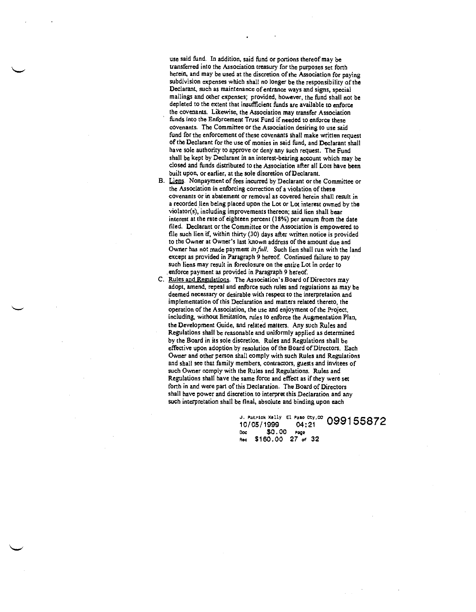use said fund. In addition, said fund or portions thereof may be transferred into the Association treasury for the purposes set forth herein, and may be used at the discretion of the Association for paying subdivision expenses which shall no longer be the responsibility of the Declarant, such as maintenance of entrance ways and signs, special mailings and other expenses; provided, however, the find shall not be depleted to the extent that insufficient finds are available to enforce the covenants. Likewise, the Association may transfer Association finds into the Enforcement Trust Fund if needed to enforce these covenants. The Committee or the Association desiring to use said fund for the enforcement of these covenants shall make written request of the Declarant for the use of monies in said find, and Declarant shall have sole authority to approve or deny any such request. The Fund shall be kept by Declarant in an interest-bearing account which may be closed and finds distributed to the Association after all Lots have been built upon, or earlier, at the sole discretion of Declarant.

B. Liens. Nonpayment of fees incurred by Declarant or the Committee or the Association in enforcing correction of a violation of these covenants or in abatement or removal as covered herein shall result in a recorded lien being placed upon the Lot or Lot interest owned by the violator(s), including improvements thereon; said lien shall bear interest at the rate of eighteen percent (18%) per annum from the date filed. Declarant or the Committee or the Association is empowered to file such lien if, within thirty (30) days after written notice is provided to the Owner at Owner's last known address of the amount due and Owner has not made payment in full. Such lien shall run with the land except as provided in Paragraph 9 hereof. Continued failure to pay such liens may result in foreclosure on the entire Lot in order to enforce payment as provided in Paragraph 9 hereof.

C. Rules and Regulations. The Association's Board of Directors may adopt, amend, repeal and enforce such rules and regulations as may be deemed necessary or desirable with respect to the interpretation and implementation of this Declaration and matters related thereto, the operation of the Association, the use and enjoyment of the Project, including, without limitation, rules to enforce the Augmentation Plan, the Development Guide, and related matters. Any such Rules and Regulations shall be reasonable and uniformly applied as determined by the Board in its sole discretion. Rules and Regulations shall be effective upon adoption by resolution of the Board of Directors, Each Owner and other person shall comply with such Rules and Regulations and shall see that family members, contractors, guests and invitees of such Owner comply with the Rules and Regulations. Rules and Regulations shall have the same force and effect as if they were set forth in and were part of this Declaration. The Board of Directors shall have power and discretion to interpret this Declaration and any such interpretation shall be final, absolute and binding upon each

> J. Patrick Kelly El Paso Cty, CO A 10/05/1999 04:21 Dcc \$0 . 00 Page Rec \$160.00 27 of 32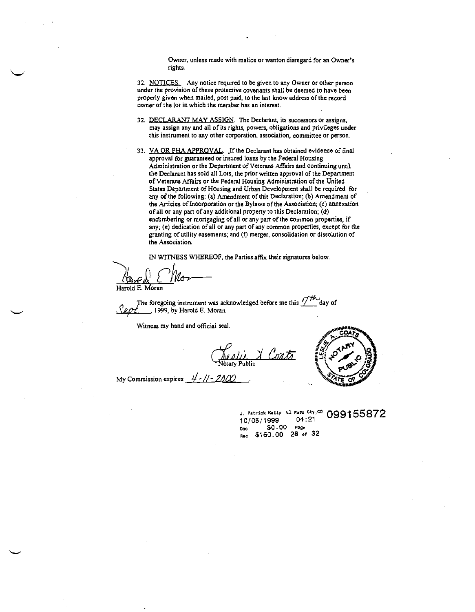Owner, unless made with malice or wanton disregard for an Owner's rights.

32. NOTICES. Any notice required to be given to any Owner or other person under the provision of these protective covenants shall be deemed to have been. properly given when mailed, post paid, to the last know address of the record owner of the lot in which the member has an interest.

- 32. DECLARANT MAY ASSIGN. The Declarant, its successors or assigns, may assign any and all of its rights, powers, obligations and privileges under this instrument to any other corporation, association, committee or person.
- 33. VA OR FHA APPROVAL. If the Declarant has obtained evidence of final approval for guaranteed or insured loans by the Federal Housing Administration or the Department of Veterans Affairs and continuing until the Declarant has sold all Lots, the prior written approval of the Department of Veterans Affairs or the Federal Housing Administration of the United States Department of Housing and Urban Development shall be required for any of the following; (a) Amendment of this Declaration; (b) Amendment of the Articles of incorporation or the Bylaws of the Association; (c) annexation of all or any part of any additional property to this Declaration; (d) encumbering or mortgaging of all or any part of the common properties, if any; (e) dedication of all or any part of any common properties, except for the granting of utility easements; and (I) merger, consolidation or dissolution of the Association.

TN WITNESS WHEREOF, the Parties affix their signatures below,

Harold E. Moran

The foregoing instrument was acknowledged before me this  $\frac{1}{10}$  day of \_\_\_\_\_\_\_\_\_\_ 1999, by Harold F. Moran.

Witness my hand and official seal.

Neglii X Contr

My Commission expires:

j. Patrick Kelly El Paso Cty,<sup>00</sup> 099155872<br>10/05/1999 04:21 10/05/1999 Doe \$0.00 e.g. \$160.00 28 of 32Ben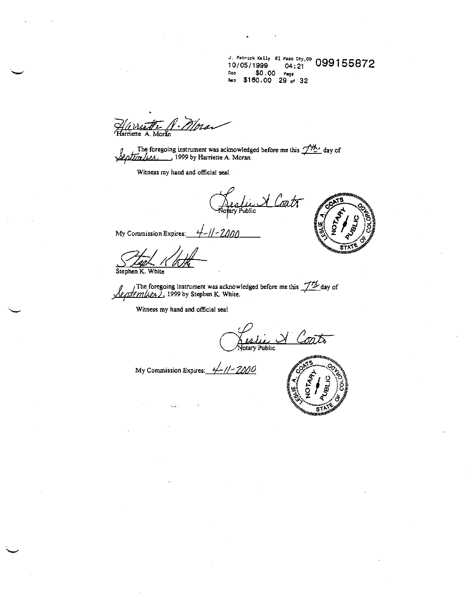J. Patrick Xelly El Paso Cty, CO 099<br>10/05/1999 04:21 Doc \$0.00 . Rn \$160.00 29 of <sup>32</sup>

Hurriette A. Mora

The foregoing instrument was acknowledged before me this  $\frac{1}{12}$  day of  $\frac{1}{2}$  day of  $\frac{1}{2}$ 

Witness my hand and official seal.

Reslie V Coatr



My Commission Expires:

 $\frac{1}{\sqrt{2\pi}}\int_{\mathbb{R}}\sqrt{1-\frac{1}{2}}\sqrt{1-\frac{1}{2}}\sqrt{1-\frac{1}{2}}\sqrt{1-\frac{1}{2}}\sqrt{1-\frac{1}{2}}\sqrt{1-\frac{1}{2}}\sqrt{1-\frac{1}{2}}\sqrt{1-\frac{1}{2}}\sqrt{1-\frac{1}{2}}\sqrt{1-\frac{1}{2}}\sqrt{1-\frac{1}{2}}\sqrt{1-\frac{1}{2}}\sqrt{1-\frac{1}{2}}\sqrt{1-\frac{1}{2}}\sqrt{1-\frac{1}{2}}\sqrt{1-\frac{1}{2}}\sqrt{1-\frac{1}{2}}\sqrt{1-\frac{1}{2}}\$ 

Stephen K. White

The foregoing instrument was acknowledged before me this  $\frac{1}{2}$  day of PMLCAL 1999 by Stephen K. White.

Witness my hand and official seal

<u>Veslie</u> & Coats

My Commission Expires:  $\frac{4}{11}$  //- 2000

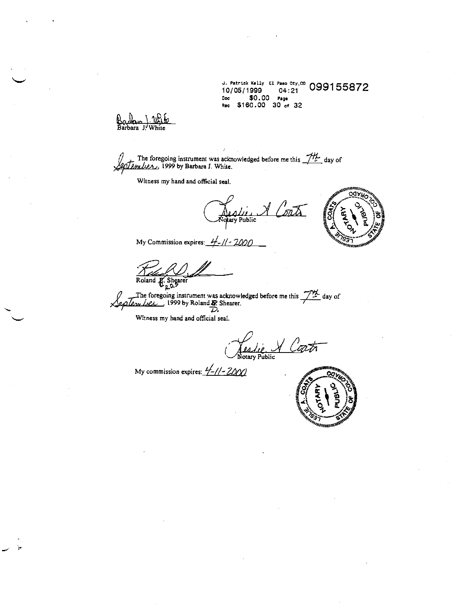i Patrick Kelly El Paso Cty, 10/05/1999 04:21 0991 55872 Doe \$0.00 Page Rec \$160.00 30 of 32

Rec \$160.<br>Backer J. White

The foregoing instrument was acknowledged before me this  $\frac{1}{12}$  day of  $\sqrt{2\pi I \rho_{\text{max}}}$  1999 by Barbara J. White.

Witness my hand and official seat.<br> $\sqrt{\frac{1}{\text{Nohary Public}}}\sqrt{\frac{1}{\text{DQCD}}}$ 



My Commission expires:  $\frac{1}{2}$ -//-2000

 $\overbrace{\text{Roland } E. \text{Shearer}}$ <br>Roland  $\overbrace{\text{a}, \text{a}}$ .

The foregoing instrument was acknowledged before me this  $\frac{1}{2}$  day of<br> $\sqrt{c\sqrt{c}}$  day of 1999 by Roland  $\frac{1}{2}$ .

Witness my hand and official seal.<br> $\sqrt{\frac{\mu_4 \mu_2}{\mu_0 \tan \gamma \sinh^2 \pi}}$ 

My commission expires:  $\frac{H}{2}$  -  $11 - 2000$ 

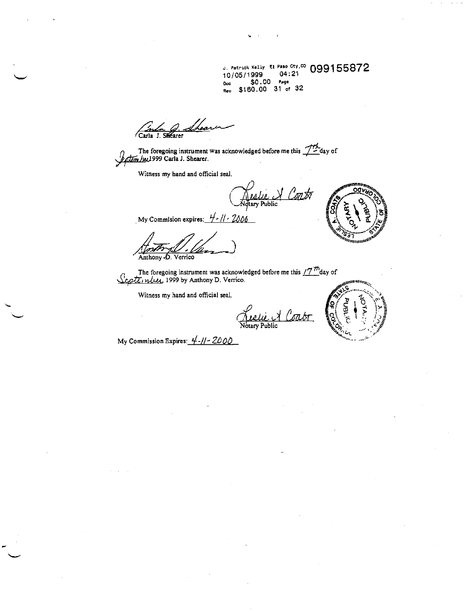J. Patrick Kelly El Paso Cty, CO 099155872 <sub>Ooč</sub> \$0.00 page<br><sub>Rec</sub> \$160.00 31 of 32

Carla J. Shearer<br>The foregoing instrument was acknowledged before me this 1th day of

*Datum Ju*, 1999 Carla J. Shearer.

Witness my hand and official seal.

(este de Contre de Contre

My Commision expires:  $4 - 11 - 2006$ 

Anthony D. Verrico

The foregoing instrument was acknowledged before me this  $\frac{17}{10}$ day of September, 1999 by Anthony D. Verrico.

Witness my hand and official seal.

<u>Neelie</u> A Con



My Commission Expires:  $4-11-2000$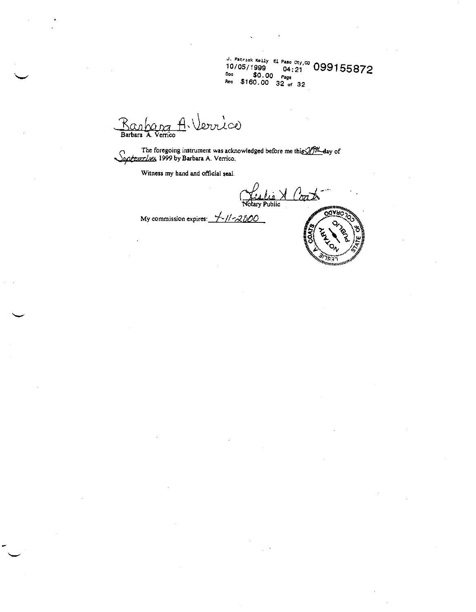U. Patrick (ally El Pa0 Doe 10/05/1999 o4:tc0 099155872 \$0.00 Page Doc \$0.00 Page<br>Rec \$160.00 32 of 32

Barbara A. Verrice

L

The foregoing instrument was acknowledged before me this  $27\%$  day of Life to egoing institution was acknowledged.

Witness my hand and official seal.

<u>A (571 D</u> Notary Public

My commission expires:  $\frac{1}{2}$ -//-2000